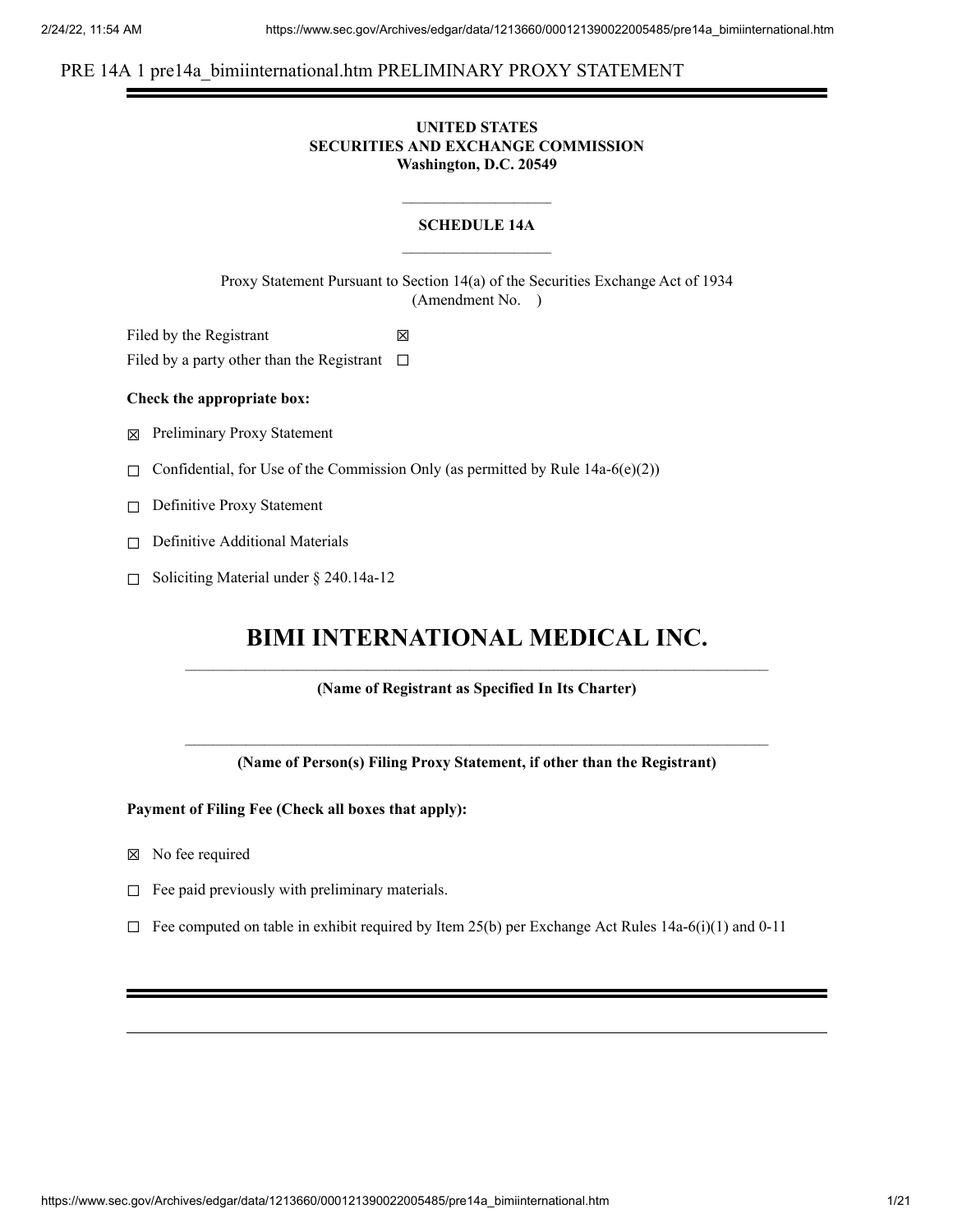## PRE 14A 1 pre14a bimiinternational.htm PRELIMINARY PROXY STATEMENT

## **UNITED STATES SECURITIES AND EXCHANGE COMMISSION Washington, D.C. 20549**

## **SCHEDULE 14A**

Proxy Statement Pursuant to Section 14(a) of the Securities Exchange Act of 1934 (Amendment No. )

Filed by the Registrant  $\boxtimes$ Filed by a party other than the Registrant  $□$ 

#### **Check the appropriate box:**

☒ Preliminary Proxy Statement

 $\Box$  Confidential, for Use of the Commission Only (as permitted by Rule 14a-6(e)(2))

☐ Definitive Proxy Statement

- □ Definitive Additional Materials
- ☐ Soliciting Material under § 240.14a-12

# **BIMI INTERNATIONAL MEDICAL INC.**

**(Name of Registrant as Specified In Its Charter)**

**(Name of Person(s) Filing Proxy Statement, if other than the Registrant)**

**Payment of Filing Fee (Check all boxes that apply):**

- ☒ No fee required
- $\Box$  Fee paid previously with preliminary materials.
- $\Box$  Fee computed on table in exhibit required by Item 25(b) per Exchange Act Rules 14a-6(i)(1) and 0-11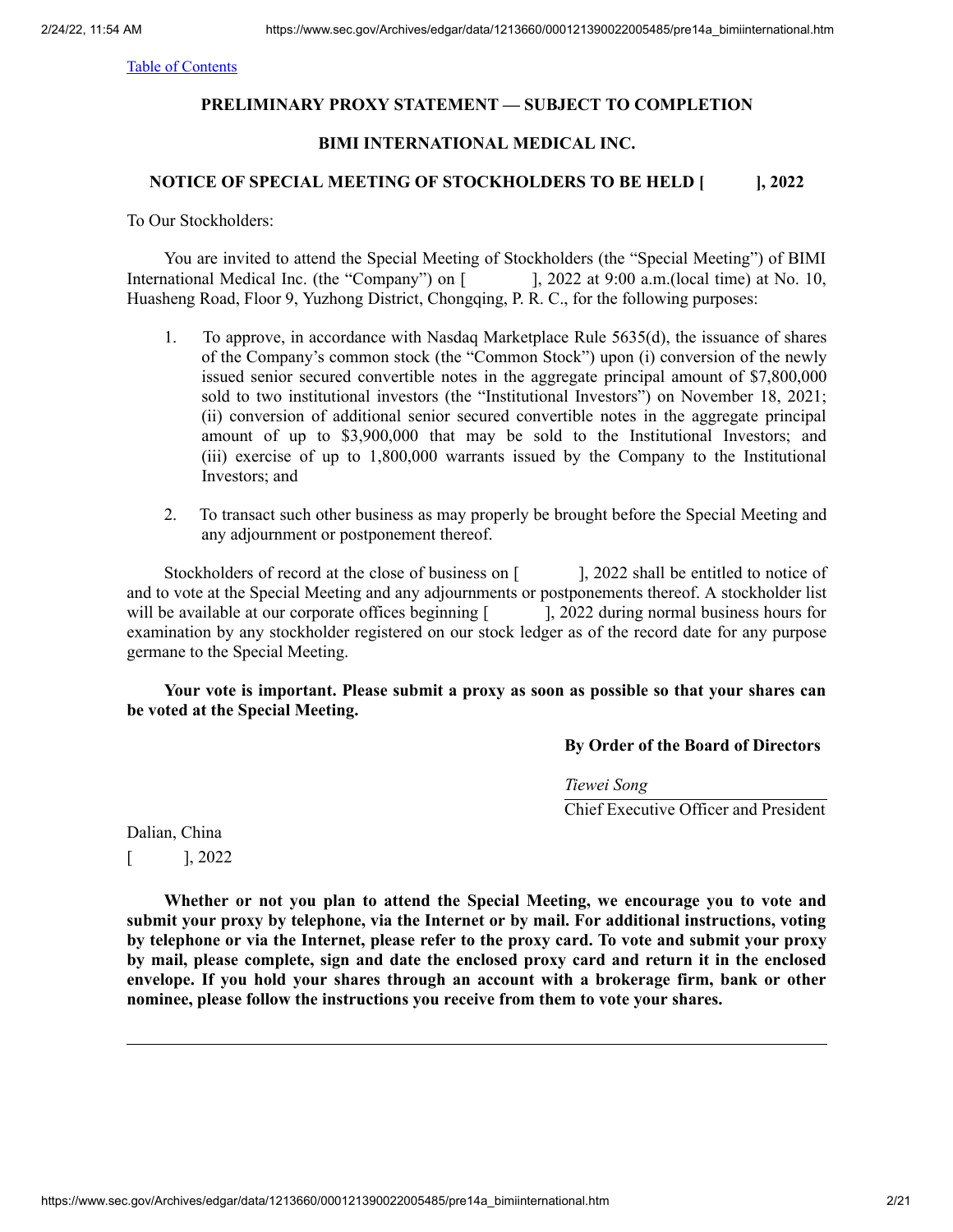## **PRELIMINARY PROXY STATEMENT — SUBJECT TO COMPLETION**

## **BIMI INTERNATIONAL MEDICAL INC.**

## **NOTICE OF SPECIAL MEETING OF STOCKHOLDERS TO BE HELD [ ], 2022**

To Our Stockholders:

You are invited to attend the Special Meeting of Stockholders (the "Special Meeting") of BIMI International Medical Inc. (the "Company") on [ ], 2022 at 9:00 a.m. (local time) at No. 10, Huasheng Road, Floor 9, Yuzhong District, Chongqing, P. R. C., for the following purposes:

- 1. To approve, in accordance with Nasdaq Marketplace Rule 5635(d), the issuance of shares of the Company's common stock (the "Common Stock") upon (i) conversion of the newly issued senior secured convertible notes in the aggregate principal amount of \$7,800,000 sold to two institutional investors (the "Institutional Investors") on November 18, 2021; (ii) conversion of additional senior secured convertible notes in the aggregate principal amount of up to \$3,900,000 that may be sold to the Institutional Investors; and (iii) exercise of up to 1,800,000 warrants issued by the Company to the Institutional Investors; and
- 2. To transact such other business as may properly be brought before the Special Meeting and any adjournment or postponement thereof.

Stockholders of record at the close of business on [ ], 2022 shall be entitled to notice of and to vote at the Special Meeting and any adjournments or postponements thereof. A stockholder list will be available at our corporate offices beginning [  $\qquad$  ], 2022 during normal business hours for examination by any stockholder registered on our stock ledger as of the record date for any purpose germane to the Special Meeting.

**Your vote is important. Please submit a proxy as soon as possible so that your shares can be voted at the Special Meeting.**

#### **By Order of the Board of Directors**

*Tiewei Song*

Chief Executive Officer and President

Dalian, China  $[$ , 2022

**Whether or not you plan to attend the Special Meeting, we encourage you to vote and submit your proxy by telephone, via the Internet or by mail. For additional instructions, voting by telephone or via the Internet, please refer to the proxy card. To vote and submit your proxy by mail, please complete, sign and date the enclosed proxy card and return it in the enclosed envelope. If you hold your shares through an account with a brokerage firm, bank or other nominee, please follow the instructions you receive from them to vote your shares.**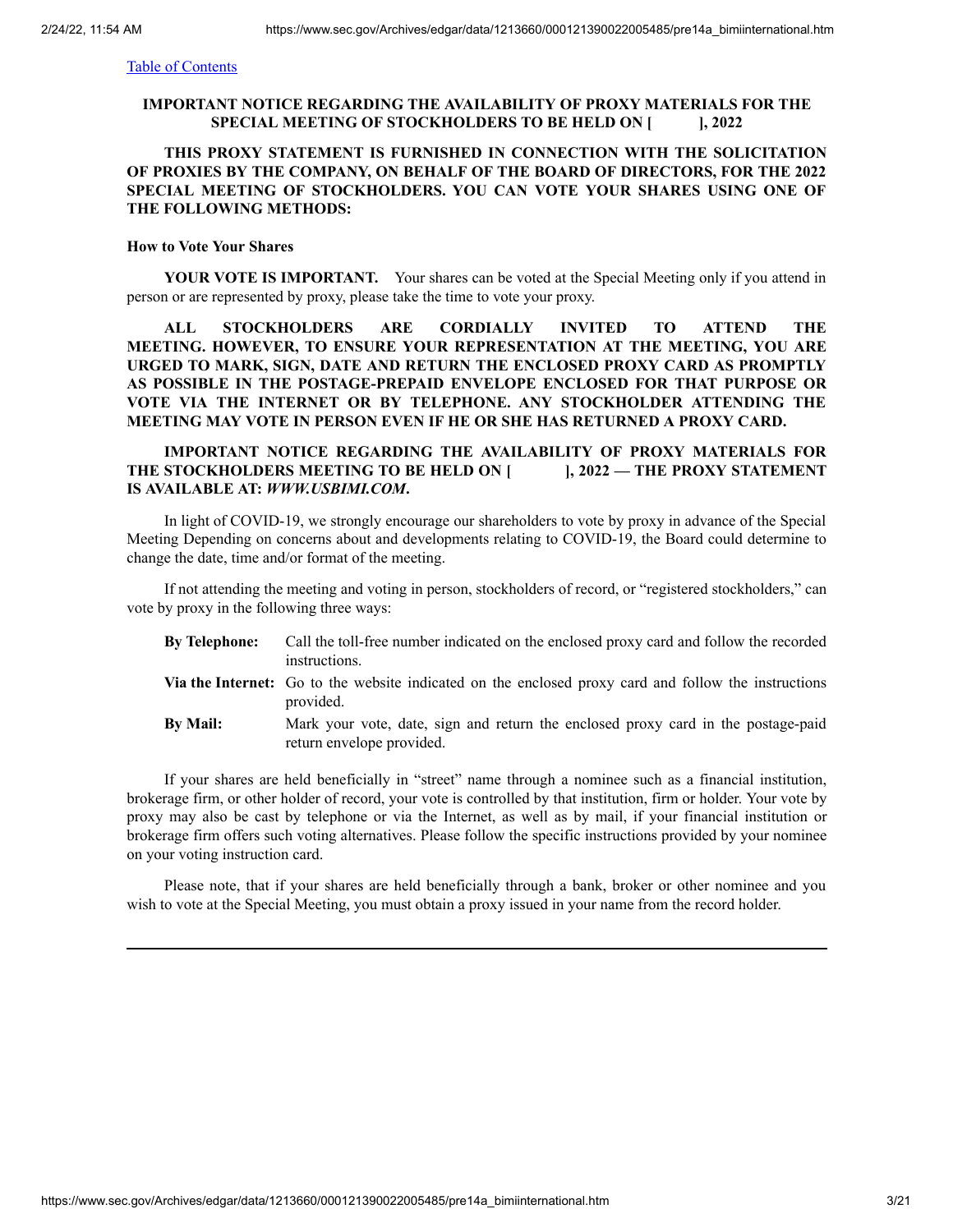## **IMPORTANT NOTICE REGARDING THE AVAILABILITY OF PROXY MATERIALS FOR THE SPECIAL MEETING OF STOCKHOLDERS TO BE HELD ON [ ], 2022**

## **THIS PROXY STATEMENT IS FURNISHED IN CONNECTION WITH THE SOLICITATION OF PROXIES BY THE COMPANY, ON BEHALF OF THE BOARD OF DIRECTORS, FOR THE 2022 SPECIAL MEETING OF STOCKHOLDERS. YOU CAN VOTE YOUR SHARES USING ONE OF THE FOLLOWING METHODS:**

#### **How to Vote Your Shares**

**YOUR VOTE IS IMPORTANT.** Your shares can be voted at the Special Meeting only if you attend in person or are represented by proxy, please take the time to vote your proxy.

**ALL STOCKHOLDERS ARE CORDIALLY INVITED TO ATTEND THE MEETING. HOWEVER, TO ENSURE YOUR REPRESENTATION AT THE MEETING, YOU ARE URGED TO MARK, SIGN, DATE AND RETURN THE ENCLOSED PROXY CARD AS PROMPTLY AS POSSIBLE IN THE POSTAGE-PREPAID ENVELOPE ENCLOSED FOR THAT PURPOSE OR VOTE VIA THE INTERNET OR BY TELEPHONE. ANY STOCKHOLDER ATTENDING THE MEETING MAY VOTE IN PERSON EVEN IF HE OR SHE HAS RETURNED A PROXY CARD.**

## **IMPORTANT NOTICE REGARDING THE AVAILABILITY OF PROXY MATERIALS FOR THE STOCKHOLDERS MEETING TO BE HELD ON [ ], 2022 — THE PROXY STATEMENT IS AVAILABLE AT:** *WWW.USBIMI.COM***.**

In light of COVID-19, we strongly encourage our shareholders to vote by proxy in advance of the Special Meeting Depending on concerns about and developments relating to COVID-19, the Board could determine to change the date, time and/or format of the meeting.

If not attending the meeting and voting in person, stockholders of record, or "registered stockholders," can vote by proxy in the following three ways:

| <b>By Telephone:</b> | Call the toll-free number indicated on the enclosed proxy card and follow the recorded                                   |
|----------------------|--------------------------------------------------------------------------------------------------------------------------|
|                      | instructions.                                                                                                            |
|                      | <b>Via the Internet:</b> Go to the website indicated on the enclosed proxy card and follow the instructions<br>provided. |
| <b>By Mail:</b>      | Mark your vote, date, sign and return the enclosed proxy card in the postage-paid<br>return envelope provided.           |

If your shares are held beneficially in "street" name through a nominee such as a financial institution, brokerage firm, or other holder of record, your vote is controlled by that institution, firm or holder. Your vote by proxy may also be cast by telephone or via the Internet, as well as by mail, if your financial institution or brokerage firm offers such voting alternatives. Please follow the specific instructions provided by your nominee on your voting instruction card.

Please note, that if your shares are held beneficially through a bank, broker or other nominee and you wish to vote at the Special Meeting, you must obtain a proxy issued in your name from the record holder.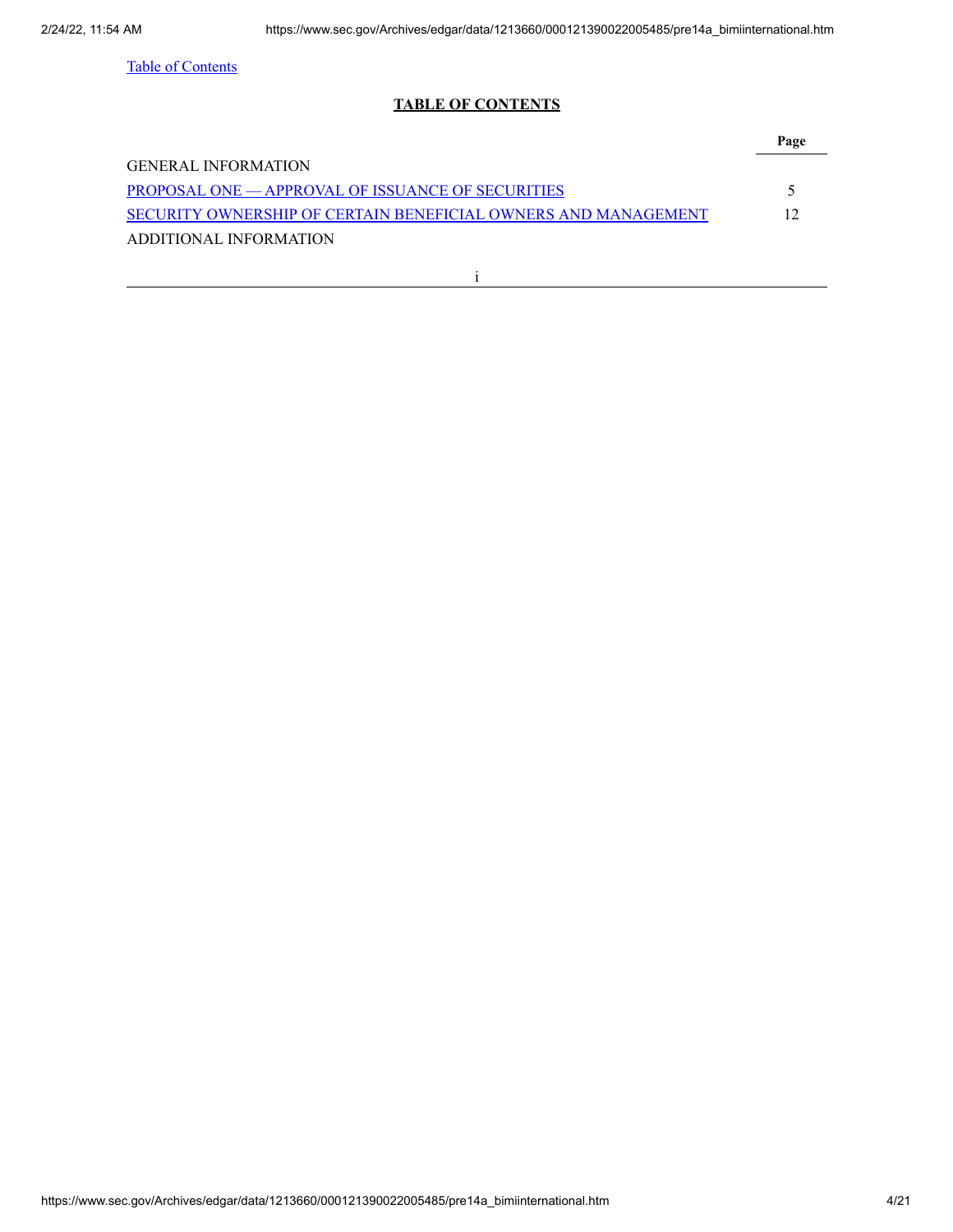## **TABLE OF CONTENTS**

<span id="page-3-0"></span>

| <b>GENERAL INFORMATION</b>                                     |     |
|----------------------------------------------------------------|-----|
| <b>PROPOSAL ONE — APPROVAL OF ISSUANCE OF SECURITIES</b>       |     |
| SECURITY OWNERSHIP OF CERTAIN BENEFICIAL OWNERS AND MANAGEMENT | 12. |
| ADDITIONAL INFORMATION                                         |     |
|                                                                |     |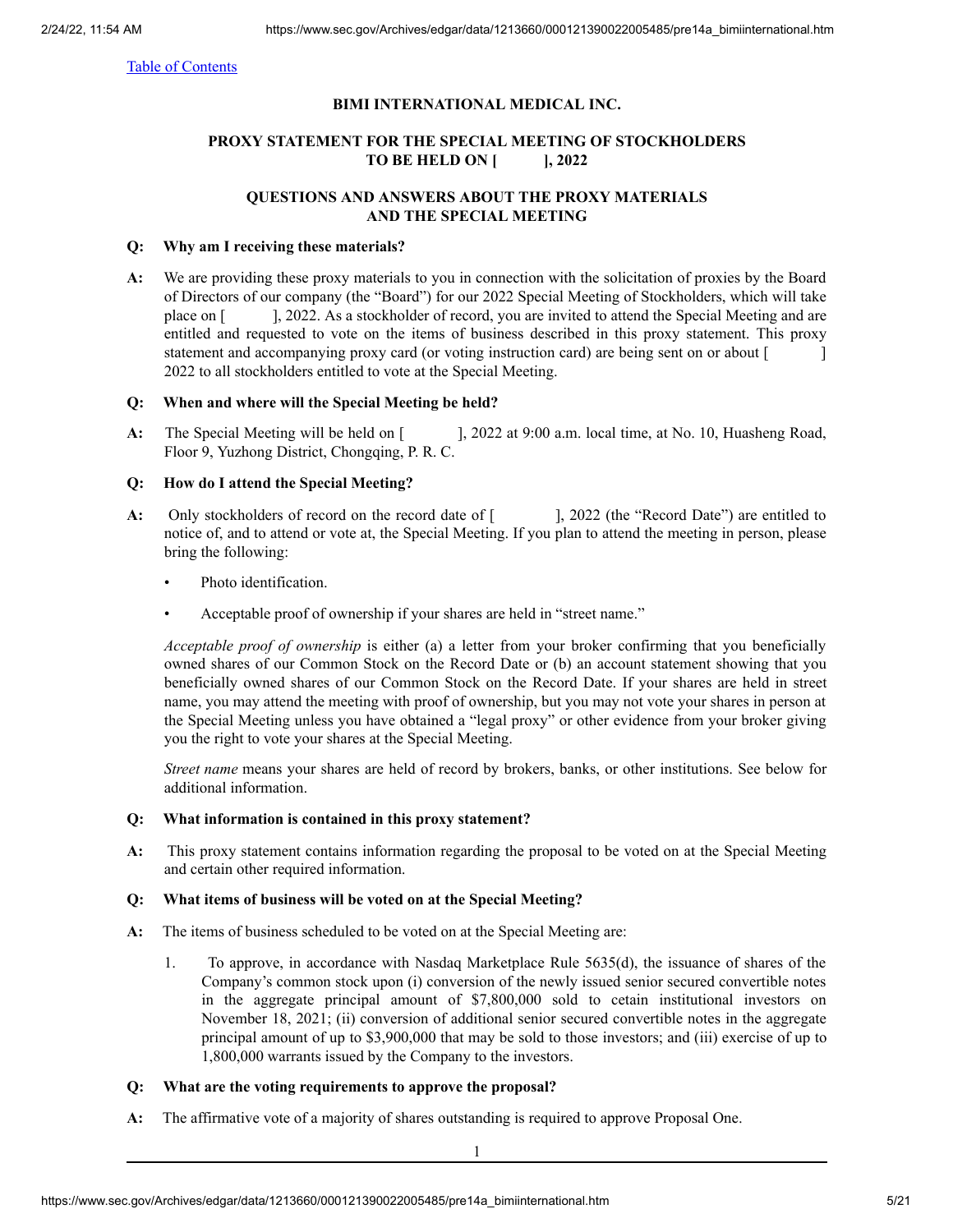## **BIMI INTERNATIONAL MEDICAL INC.**

## **PROXY STATEMENT FOR THE SPECIAL MEETING OF STOCKHOLDERS TO BE HELD ON [ ], 2022**

## **QUESTIONS AND ANSWERS ABOUT THE PROXY MATERIALS AND THE SPECIAL MEETING**

## **Q: Why am I receiving these materials?**

**A:** We are providing these proxy materials to you in connection with the solicitation of proxies by the Board of Directors of our company (the "Board") for our 2022 Special Meeting of Stockholders, which will take place on [  $\qquad$  ], 2022. As a stockholder of record, you are invited to attend the Special Meeting and are entitled and requested to vote on the items of business described in this proxy statement. This proxy statement and accompanying proxy card (or voting instruction card) are being sent on or about [ 2022 to all stockholders entitled to vote at the Special Meeting.

## **Q: When and where will the Special Meeting be held?**

**A:** The Special Meeting will be held on [ ], 2022 at 9:00 a.m. local time, at No. 10, Huasheng Road, Floor 9, Yuzhong District, Chongqing, P. R. C.

## **Q: How do I attend the Special Meeting?**

- A: Only stockholders of record on the record date of  $\lbrack$ , 2022 (the "Record Date") are entitled to notice of, and to attend or vote at, the Special Meeting. If you plan to attend the meeting in person, please bring the following:
	- Photo identification.
	- Acceptable proof of ownership if your shares are held in "street name."

*Acceptable proof of ownership* is either (a) a letter from your broker confirming that you beneficially owned shares of our Common Stock on the Record Date or (b) an account statement showing that you beneficially owned shares of our Common Stock on the Record Date. If your shares are held in street name, you may attend the meeting with proof of ownership, but you may not vote your shares in person at the Special Meeting unless you have obtained a "legal proxy" or other evidence from your broker giving you the right to vote your shares at the Special Meeting.

*Street name* means your shares are held of record by brokers, banks, or other institutions. See below for additional information.

#### **Q: What information is contained in this proxy statement?**

**A:** This proxy statement contains information regarding the proposal to be voted on at the Special Meeting and certain other required information.

#### **Q: What items of business will be voted on at the Special Meeting?**

- **A:** The items of business scheduled to be voted on at the Special Meeting are:
	- 1. To approve, in accordance with Nasdaq Marketplace Rule 5635(d), the issuance of shares of the Company's common stock upon (i) conversion of the newly issued senior secured convertible notes in the aggregate principal amount of \$7,800,000 sold to cetain institutional investors on November 18, 2021; (ii) conversion of additional senior secured convertible notes in the aggregate principal amount of up to \$3,900,000 that may be sold to those investors; and (iii) exercise of up to 1,800,000 warrants issued by the Company to the investors.

## **Q: What are the voting requirements to approve the proposal?**

**A:** The affirmative vote of a majority of shares outstanding is required to approve Proposal One.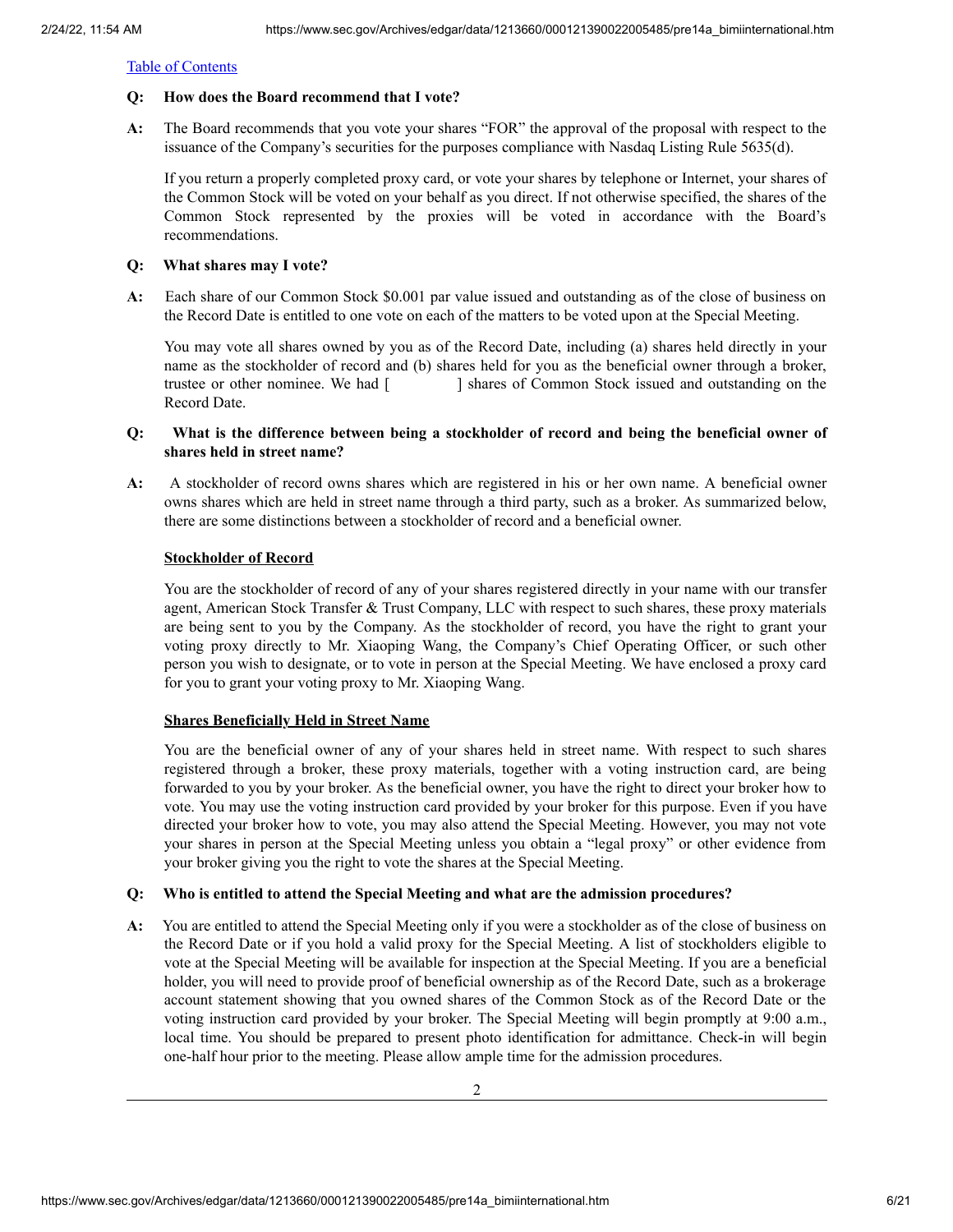#### **Q: How does the Board recommend that I vote?**

**A:** The Board recommends that you vote your shares "FOR" the approval of the proposal with respect to the issuance of the Company's securities for the purposes compliance with Nasdaq Listing Rule 5635(d).

If you return a properly completed proxy card, or vote your shares by telephone or Internet, your shares of the Common Stock will be voted on your behalf as you direct. If not otherwise specified, the shares of the Common Stock represented by the proxies will be voted in accordance with the Board's recommendations.

#### **Q: What shares may I vote?**

**A:** Each share of our Common Stock \$0.001 par value issued and outstanding as of the close of business on the Record Date is entitled to one vote on each of the matters to be voted upon at the Special Meeting.

You may vote all shares owned by you as of the Record Date, including (a) shares held directly in your name as the stockholder of record and (b) shares held for you as the beneficial owner through a broker, trustee or other nominee. We had [ ] shares of Common Stock issued and outstanding on the Record Date.

## **Q: What is the difference between being a stockholder of record and being the beneficial owner of shares held in street name?**

**A:** A stockholder of record owns shares which are registered in his or her own name. A beneficial owner owns shares which are held in street name through a third party, such as a broker. As summarized below, there are some distinctions between a stockholder of record and a beneficial owner.

#### **Stockholder of Record**

You are the stockholder of record of any of your shares registered directly in your name with our transfer agent, American Stock Transfer & Trust Company, LLC with respect to such shares, these proxy materials are being sent to you by the Company. As the stockholder of record, you have the right to grant your voting proxy directly to Mr. Xiaoping Wang, the Company's Chief Operating Officer, or such other person you wish to designate, or to vote in person at the Special Meeting. We have enclosed a proxy card for you to grant your voting proxy to Mr. Xiaoping Wang.

#### **Shares Beneficially Held in Street Name**

You are the beneficial owner of any of your shares held in street name. With respect to such shares registered through a broker, these proxy materials, together with a voting instruction card, are being forwarded to you by your broker. As the beneficial owner, you have the right to direct your broker how to vote. You may use the voting instruction card provided by your broker for this purpose. Even if you have directed your broker how to vote, you may also attend the Special Meeting. However, you may not vote your shares in person at the Special Meeting unless you obtain a "legal proxy" or other evidence from your broker giving you the right to vote the shares at the Special Meeting.

#### **Q: Who is entitled to attend the Special Meeting and what are the admission procedures?**

**A:** You are entitled to attend the Special Meeting only if you were a stockholder as of the close of business on the Record Date or if you hold a valid proxy for the Special Meeting. A list of stockholders eligible to vote at the Special Meeting will be available for inspection at the Special Meeting. If you are a beneficial holder, you will need to provide proof of beneficial ownership as of the Record Date, such as a brokerage account statement showing that you owned shares of the Common Stock as of the Record Date or the voting instruction card provided by your broker. The Special Meeting will begin promptly at 9:00 a.m., local time. You should be prepared to present photo identification for admittance. Check-in will begin one-half hour prior to the meeting. Please allow ample time for the admission procedures.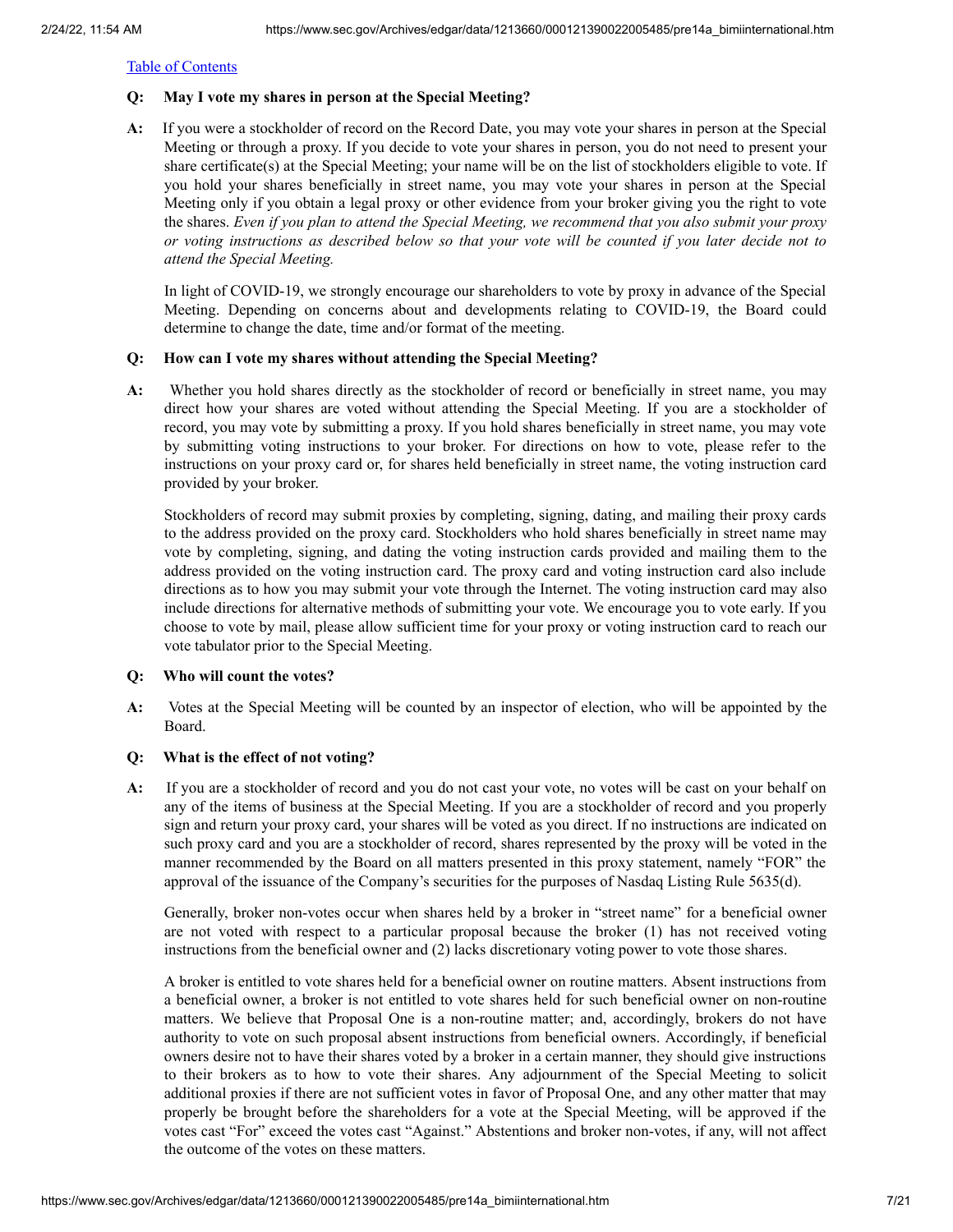## **Q: May I vote my shares in person at the Special Meeting?**

**A:** If you were a stockholder of record on the Record Date, you may vote your shares in person at the Special Meeting or through a proxy. If you decide to vote your shares in person, you do not need to present your share certificate(s) at the Special Meeting; your name will be on the list of stockholders eligible to vote. If you hold your shares beneficially in street name, you may vote your shares in person at the Special Meeting only if you obtain a legal proxy or other evidence from your broker giving you the right to vote the shares. *Even if you plan to attend the Special Meeting, we recommend that you also submit your proxy* or voting instructions as described below so that your vote will be counted if you later decide not to *attend the Special Meeting.*

In light of COVID-19, we strongly encourage our shareholders to vote by proxy in advance of the Special Meeting. Depending on concerns about and developments relating to COVID-19, the Board could determine to change the date, time and/or format of the meeting.

## **Q: How can I vote my shares without attending the Special Meeting?**

**A:** Whether you hold shares directly as the stockholder of record or beneficially in street name, you may direct how your shares are voted without attending the Special Meeting. If you are a stockholder of record, you may vote by submitting a proxy. If you hold shares beneficially in street name, you may vote by submitting voting instructions to your broker. For directions on how to vote, please refer to the instructions on your proxy card or, for shares held beneficially in street name, the voting instruction card provided by your broker.

Stockholders of record may submit proxies by completing, signing, dating, and mailing their proxy cards to the address provided on the proxy card. Stockholders who hold shares beneficially in street name may vote by completing, signing, and dating the voting instruction cards provided and mailing them to the address provided on the voting instruction card. The proxy card and voting instruction card also include directions as to how you may submit your vote through the Internet. The voting instruction card may also include directions for alternative methods of submitting your vote. We encourage you to vote early. If you choose to vote by mail, please allow sufficient time for your proxy or voting instruction card to reach our vote tabulator prior to the Special Meeting.

#### **Q: Who will count the votes?**

**A:** Votes at the Special Meeting will be counted by an inspector of election, who will be appointed by the Board.

## **Q: What is the effect of not voting?**

**A:** If you are a stockholder of record and you do not cast your vote, no votes will be cast on your behalf on any of the items of business at the Special Meeting. If you are a stockholder of record and you properly sign and return your proxy card, your shares will be voted as you direct. If no instructions are indicated on such proxy card and you are a stockholder of record, shares represented by the proxy will be voted in the manner recommended by the Board on all matters presented in this proxy statement, namely "FOR" the approval of the issuance of the Company's securities for the purposes of Nasdaq Listing Rule 5635(d).

Generally, broker non-votes occur when shares held by a broker in "street name" for a beneficial owner are not voted with respect to a particular proposal because the broker (1) has not received voting instructions from the beneficial owner and (2) lacks discretionary voting power to vote those shares.

A broker is entitled to vote shares held for a beneficial owner on routine matters. Absent instructions from a beneficial owner, a broker is not entitled to vote shares held for such beneficial owner on non-routine matters. We believe that Proposal One is a non-routine matter; and, accordingly, brokers do not have authority to vote on such proposal absent instructions from beneficial owners. Accordingly, if beneficial owners desire not to have their shares voted by a broker in a certain manner, they should give instructions to their brokers as to how to vote their shares. Any adjournment of the Special Meeting to solicit additional proxies if there are not sufficient votes in favor of Proposal One, and any other matter that may properly be brought before the shareholders for a vote at the Special Meeting, will be approved if the votes cast "For" exceed the votes cast "Against." Abstentions and broker non-votes, if any, will not affect the outcome of the votes on these matters.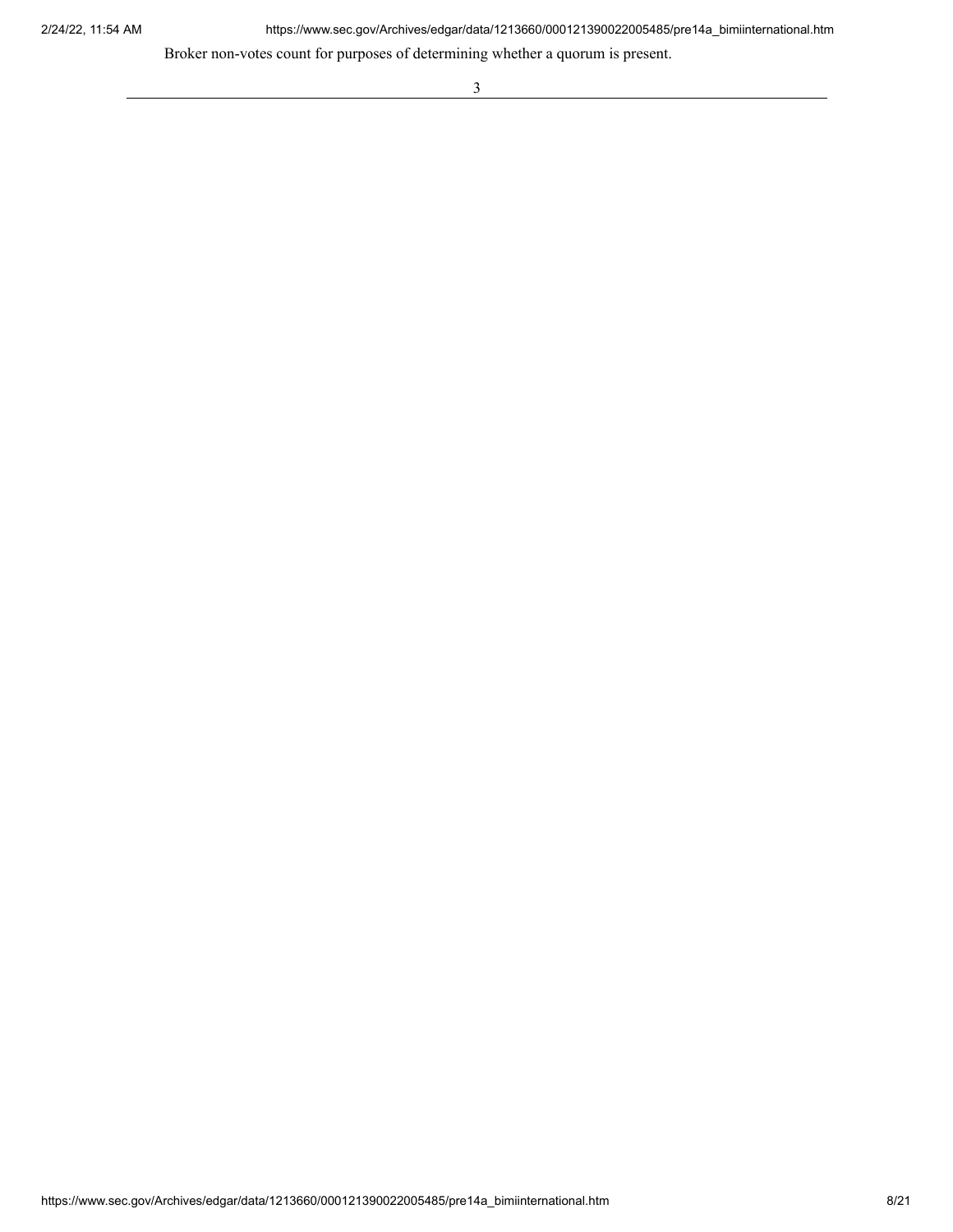2/24/22, 11:54 AM https://www.sec.gov/Archives/edgar/data/1213660/000121390022005485/pre14a\_bimiinternational.htm

<u> 1989 - Johann Barn, mars eta bainar eta bainar eta baina eta baina eta baina eta baina eta baina eta baina e</u>

Broker non-votes count for purposes of determining whether a quorum is present.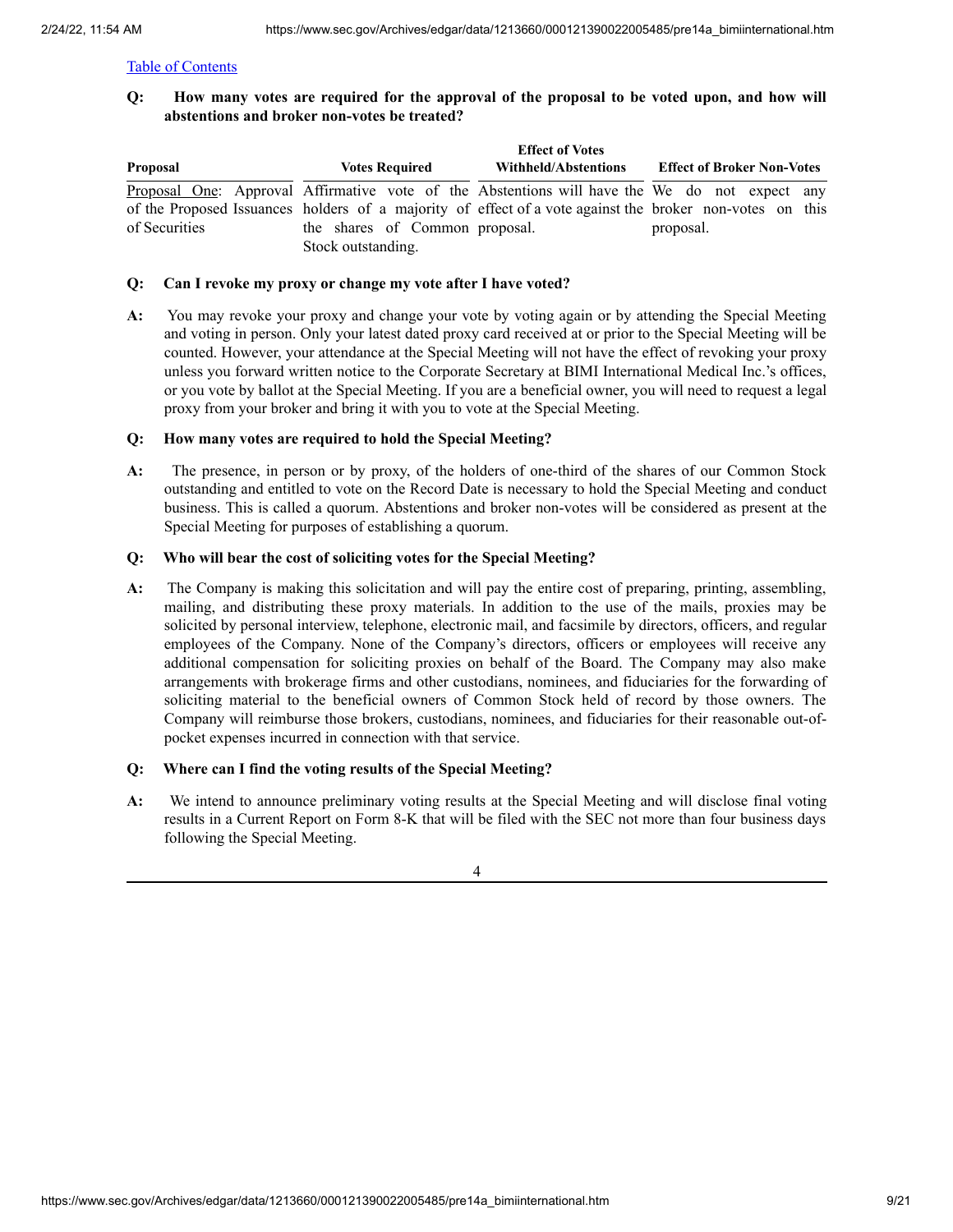Q: How many votes are required for the approval of the proposal to be voted upon, and how will **abstentions and broker non-votes be treated?**

|               |                                | <b>Effect of Votes</b> |                                                                                                          |
|---------------|--------------------------------|------------------------|----------------------------------------------------------------------------------------------------------|
| Proposal      | <b>Votes Required</b>          | Withheld/Abstentions   | <b>Effect of Broker Non-Votes</b>                                                                        |
|               |                                |                        | Proposal One: Approval Affirmative vote of the Abstentions will have the We do not expect any            |
|               |                                |                        | of the Proposed Issuances holders of a majority of effect of a vote against the broker non-votes on this |
| of Securities | the shares of Common proposal. |                        | proposal.                                                                                                |
|               | Stock outstanding.             |                        |                                                                                                          |

### **Q: Can I revoke my proxy or change my vote after I have voted?**

**A:** You may revoke your proxy and change your vote by voting again or by attending the Special Meeting and voting in person. Only your latest dated proxy card received at or prior to the Special Meeting will be counted. However, your attendance at the Special Meeting will not have the effect of revoking your proxy unless you forward written notice to the Corporate Secretary at BIMI International Medical Inc.'s offices, or you vote by ballot at the Special Meeting. If you are a beneficial owner, you will need to request a legal proxy from your broker and bring it with you to vote at the Special Meeting.

## **Q: How many votes are required to hold the Special Meeting?**

**A:** The presence, in person or by proxy, of the holders of one-third of the shares of our Common Stock outstanding and entitled to vote on the Record Date is necessary to hold the Special Meeting and conduct business. This is called a quorum. Abstentions and broker non-votes will be considered as present at the Special Meeting for purposes of establishing a quorum.

## **Q: Who will bear the cost of soliciting votes for the Special Meeting?**

**A:** The Company is making this solicitation and will pay the entire cost of preparing, printing, assembling, mailing, and distributing these proxy materials. In addition to the use of the mails, proxies may be solicited by personal interview, telephone, electronic mail, and facsimile by directors, officers, and regular employees of the Company. None of the Company's directors, officers or employees will receive any additional compensation for soliciting proxies on behalf of the Board. The Company may also make arrangements with brokerage firms and other custodians, nominees, and fiduciaries for the forwarding of soliciting material to the beneficial owners of Common Stock held of record by those owners. The Company will reimburse those brokers, custodians, nominees, and fiduciaries for their reasonable out-ofpocket expenses incurred in connection with that service.

## **Q: Where can I find the voting results of the Special Meeting?**

**A:** We intend to announce preliminary voting results at the Special Meeting and will disclose final voting results in a Current Report on Form 8-K that will be filed with the SEC not more than four business days following the Special Meeting.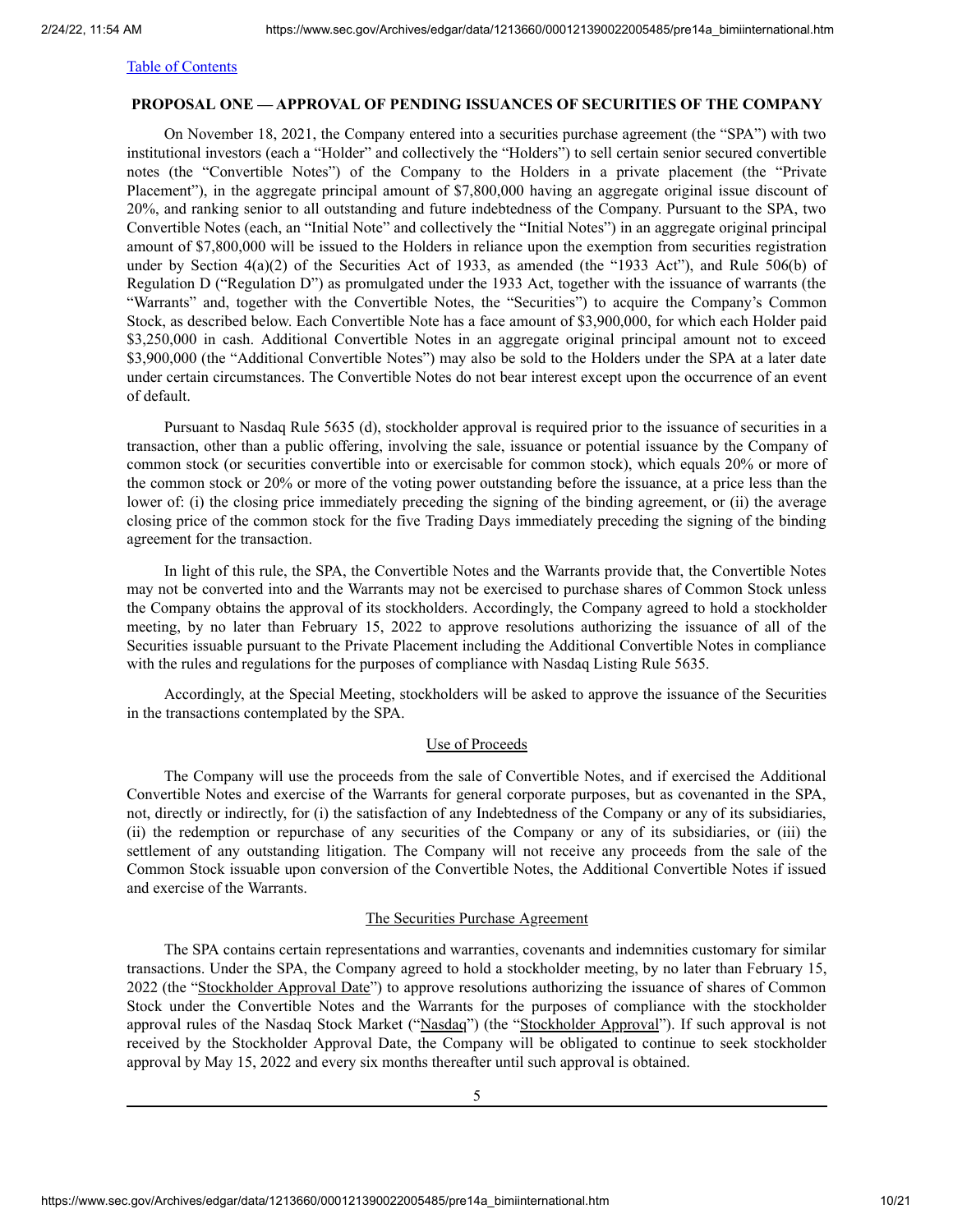## <span id="page-9-0"></span>**PROPOSAL ONE — APPROVAL OF PENDING ISSUANCES OF SECURITIES OF THE COMPANY**

On November 18, 2021, the Company entered into a securities purchase agreement (the "SPA") with two institutional investors (each a "Holder" and collectively the "Holders") to sell certain senior secured convertible notes (the "Convertible Notes") of the Company to the Holders in a private placement (the "Private Placement"), in the aggregate principal amount of \$7,800,000 having an aggregate original issue discount of 20%, and ranking senior to all outstanding and future indebtedness of the Company. Pursuant to the SPA, two Convertible Notes (each, an "Initial Note" and collectively the "Initial Notes") in an aggregate original principal amount of \$7,800,000 will be issued to the Holders in reliance upon the exemption from securities registration under by Section 4(a)(2) of the Securities Act of 1933, as amended (the "1933 Act"), and Rule 506(b) of Regulation D ("Regulation D") as promulgated under the 1933 Act, together with the issuance of warrants (the "Warrants" and, together with the Convertible Notes, the "Securities") to acquire the Company's Common Stock, as described below. Each Convertible Note has a face amount of \$3,900,000, for which each Holder paid \$3,250,000 in cash. Additional Convertible Notes in an aggregate original principal amount not to exceed \$3,900,000 (the "Additional Convertible Notes") may also be sold to the Holders under the SPA at a later date under certain circumstances. The Convertible Notes do not bear interest except upon the occurrence of an event of default.

Pursuant to Nasdaq Rule 5635 (d), stockholder approval is required prior to the issuance of securities in a transaction, other than a public offering, involving the sale, issuance or potential issuance by the Company of common stock (or securities convertible into or exercisable for common stock), which equals 20% or more of the common stock or 20% or more of the voting power outstanding before the issuance, at a price less than the lower of: (i) the closing price immediately preceding the signing of the binding agreement, or (ii) the average closing price of the common stock for the five Trading Days immediately preceding the signing of the binding agreement for the transaction.

In light of this rule, the SPA, the Convertible Notes and the Warrants provide that, the Convertible Notes may not be converted into and the Warrants may not be exercised to purchase shares of Common Stock unless the Company obtains the approval of its stockholders. Accordingly, the Company agreed to hold a stockholder meeting, by no later than February 15, 2022 to approve resolutions authorizing the issuance of all of the Securities issuable pursuant to the Private Placement including the Additional Convertible Notes in compliance with the rules and regulations for the purposes of compliance with Nasdaq Listing Rule 5635.

Accordingly, at the Special Meeting, stockholders will be asked to approve the issuance of the Securities in the transactions contemplated by the SPA.

#### Use of Proceeds

The Company will use the proceeds from the sale of Convertible Notes, and if exercised the Additional Convertible Notes and exercise of the Warrants for general corporate purposes, but as covenanted in the SPA, not, directly or indirectly, for (i) the satisfaction of any Indebtedness of the Company or any of its subsidiaries, (ii) the redemption or repurchase of any securities of the Company or any of its subsidiaries, or (iii) the settlement of any outstanding litigation. The Company will not receive any proceeds from the sale of the Common Stock issuable upon conversion of the Convertible Notes, the Additional Convertible Notes if issued and exercise of the Warrants.

#### The Securities Purchase Agreement

The SPA contains certain representations and warranties, covenants and indemnities customary for similar transactions. Under the SPA, the Company agreed to hold a stockholder meeting, by no later than February 15, 2022 (the "Stockholder Approval Date") to approve resolutions authorizing the issuance of shares of Common Stock under the Convertible Notes and the Warrants for the purposes of compliance with the stockholder approval rules of the Nasdaq Stock Market ("Nasdaq") (the "Stockholder Approval"). If such approval is not received by the Stockholder Approval Date, the Company will be obligated to continue to seek stockholder approval by May 15, 2022 and every six months thereafter until such approval is obtained.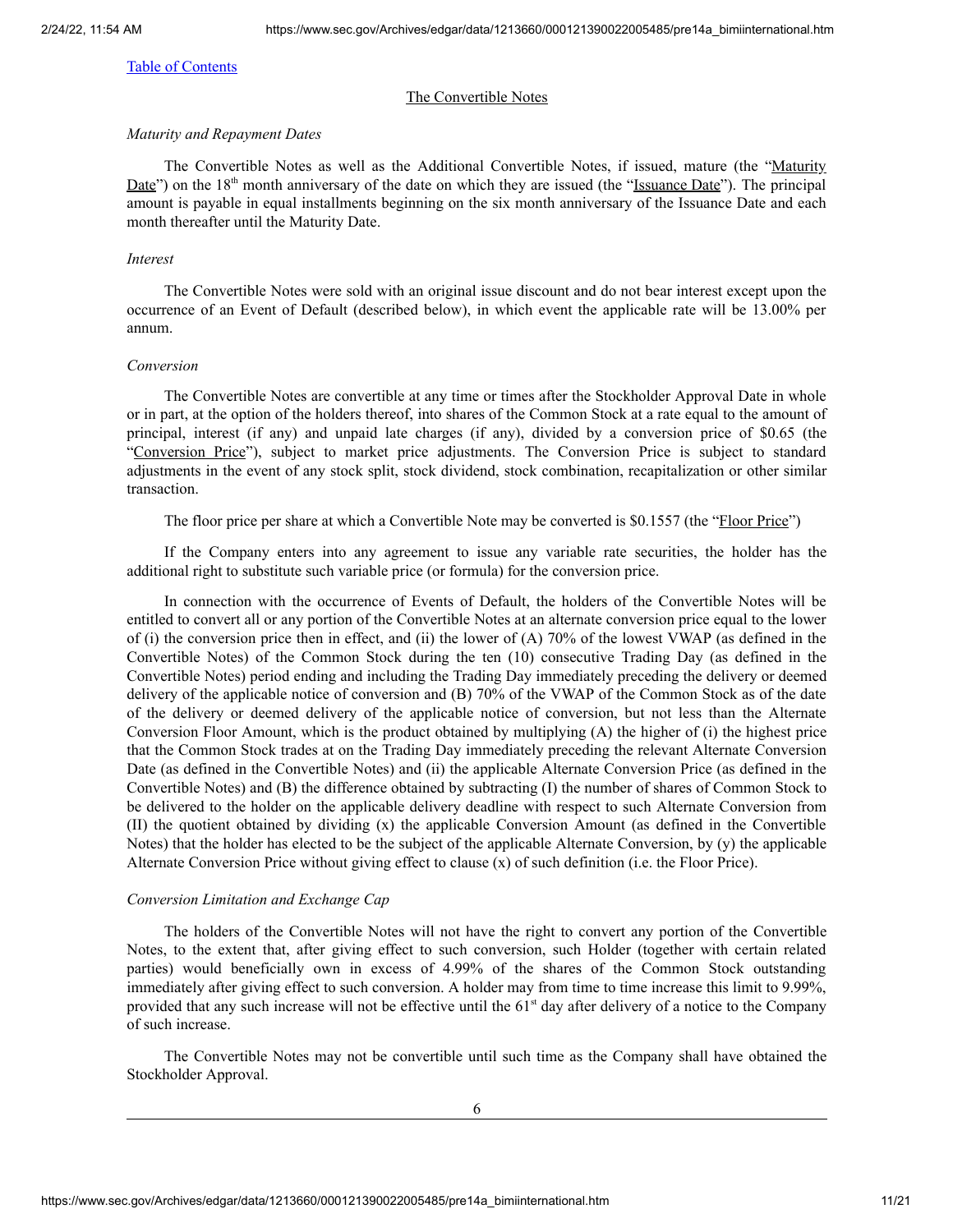#### The Convertible Notes

#### *Maturity and Repayment Dates*

The Convertible Notes as well as the Additional Convertible Notes, if issued, mature (the "Maturity Date") on the 18<sup>th</sup> month anniversary of the date on which they are issued (the "Issuance Date"). The principal amount is payable in equal installments beginning on the six month anniversary of the Issuance Date and each month thereafter until the Maturity Date.

#### *Interest*

The Convertible Notes were sold with an original issue discount and do not bear interest except upon the occurrence of an Event of Default (described below), in which event the applicable rate will be 13.00% per annum.

#### *Conversion*

The Convertible Notes are convertible at any time or times after the Stockholder Approval Date in whole or in part, at the option of the holders thereof, into shares of the Common Stock at a rate equal to the amount of principal, interest (if any) and unpaid late charges (if any), divided by a conversion price of \$0.65 (the "Conversion Price"), subject to market price adjustments. The Conversion Price is subject to standard adjustments in the event of any stock split, stock dividend, stock combination, recapitalization or other similar transaction.

The floor price per share at which a Convertible Note may be converted is \$0.1557 (the "Floor Price")

If the Company enters into any agreement to issue any variable rate securities, the holder has the additional right to substitute such variable price (or formula) for the conversion price.

In connection with the occurrence of Events of Default, the holders of the Convertible Notes will be entitled to convert all or any portion of the Convertible Notes at an alternate conversion price equal to the lower of (i) the conversion price then in effect, and (ii) the lower of (A) 70% of the lowest VWAP (as defined in the Convertible Notes) of the Common Stock during the ten (10) consecutive Trading Day (as defined in the Convertible Notes) period ending and including the Trading Day immediately preceding the delivery or deemed delivery of the applicable notice of conversion and (B) 70% of the VWAP of the Common Stock as of the date of the delivery or deemed delivery of the applicable notice of conversion, but not less than the Alternate Conversion Floor Amount, which is the product obtained by multiplying (A) the higher of (i) the highest price that the Common Stock trades at on the Trading Day immediately preceding the relevant Alternate Conversion Date (as defined in the Convertible Notes) and (ii) the applicable Alternate Conversion Price (as defined in the Convertible Notes) and (B) the difference obtained by subtracting (I) the number of shares of Common Stock to be delivered to the holder on the applicable delivery deadline with respect to such Alternate Conversion from (II) the quotient obtained by dividing (x) the applicable Conversion Amount (as defined in the Convertible Notes) that the holder has elected to be the subject of the applicable Alternate Conversion, by (y) the applicable Alternate Conversion Price without giving effect to clause (x) of such definition (i.e. the Floor Price).

#### *Conversion Limitation and Exchange Cap*

The holders of the Convertible Notes will not have the right to convert any portion of the Convertible Notes, to the extent that, after giving effect to such conversion, such Holder (together with certain related parties) would beneficially own in excess of 4.99% of the shares of the Common Stock outstanding immediately after giving effect to such conversion. A holder may from time to time increase this limit to 9.99%, provided that any such increase will not be effective until the 61<sup>st</sup> day after delivery of a notice to the Company of such increase.

The Convertible Notes may not be convertible until such time as the Company shall have obtained the Stockholder Approval.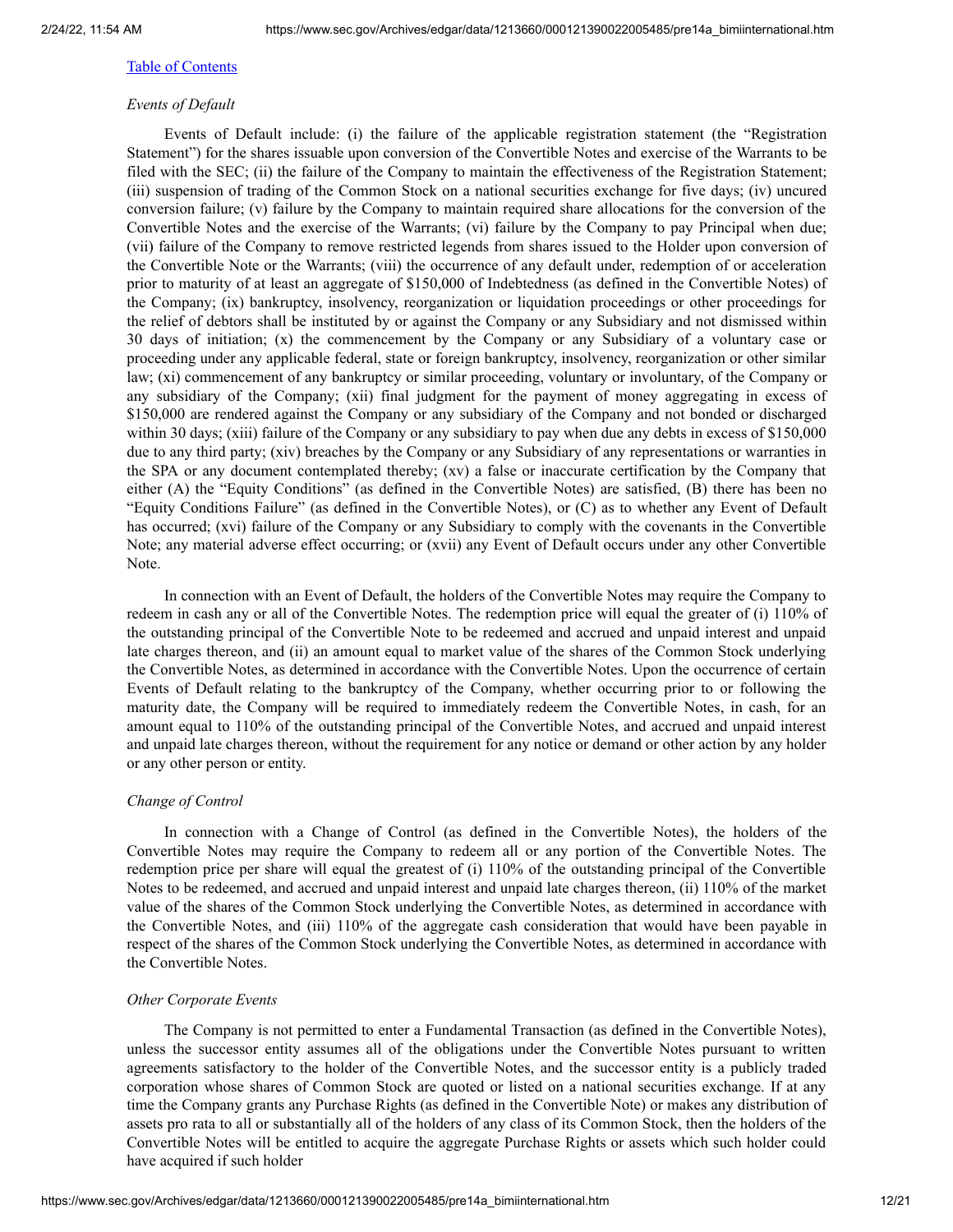## *Events of Default*

Events of Default include: (i) the failure of the applicable registration statement (the "Registration Statement") for the shares issuable upon conversion of the Convertible Notes and exercise of the Warrants to be filed with the SEC; (ii) the failure of the Company to maintain the effectiveness of the Registration Statement; (iii) suspension of trading of the Common Stock on a national securities exchange for five days; (iv) uncured conversion failure; (v) failure by the Company to maintain required share allocations for the conversion of the Convertible Notes and the exercise of the Warrants; (vi) failure by the Company to pay Principal when due; (vii) failure of the Company to remove restricted legends from shares issued to the Holder upon conversion of the Convertible Note or the Warrants; (viii) the occurrence of any default under, redemption of or acceleration prior to maturity of at least an aggregate of \$150,000 of Indebtedness (as defined in the Convertible Notes) of the Company; (ix) bankruptcy, insolvency, reorganization or liquidation proceedings or other proceedings for the relief of debtors shall be instituted by or against the Company or any Subsidiary and not dismissed within 30 days of initiation; (x) the commencement by the Company or any Subsidiary of a voluntary case or proceeding under any applicable federal, state or foreign bankruptcy, insolvency, reorganization or other similar law; (xi) commencement of any bankruptcy or similar proceeding, voluntary or involuntary, of the Company or any subsidiary of the Company; (xii) final judgment for the payment of money aggregating in excess of \$150,000 are rendered against the Company or any subsidiary of the Company and not bonded or discharged within 30 days; (xiii) failure of the Company or any subsidiary to pay when due any debts in excess of \$150,000 due to any third party; (xiv) breaches by the Company or any Subsidiary of any representations or warranties in the SPA or any document contemplated thereby; (xv) a false or inaccurate certification by the Company that either (A) the "Equity Conditions" (as defined in the Convertible Notes) are satisfied, (B) there has been no "Equity Conditions Failure" (as defined in the Convertible Notes), or (C) as to whether any Event of Default has occurred; (xvi) failure of the Company or any Subsidiary to comply with the covenants in the Convertible Note; any material adverse effect occurring; or (xvii) any Event of Default occurs under any other Convertible Note.

In connection with an Event of Default, the holders of the Convertible Notes may require the Company to redeem in cash any or all of the Convertible Notes. The redemption price will equal the greater of (i) 110% of the outstanding principal of the Convertible Note to be redeemed and accrued and unpaid interest and unpaid late charges thereon, and (ii) an amount equal to market value of the shares of the Common Stock underlying the Convertible Notes, as determined in accordance with the Convertible Notes. Upon the occurrence of certain Events of Default relating to the bankruptcy of the Company, whether occurring prior to or following the maturity date, the Company will be required to immediately redeem the Convertible Notes, in cash, for an amount equal to 110% of the outstanding principal of the Convertible Notes, and accrued and unpaid interest and unpaid late charges thereon, without the requirement for any notice or demand or other action by any holder or any other person or entity.

## *Change of Control*

In connection with a Change of Control (as defined in the Convertible Notes), the holders of the Convertible Notes may require the Company to redeem all or any portion of the Convertible Notes. The redemption price per share will equal the greatest of (i) 110% of the outstanding principal of the Convertible Notes to be redeemed, and accrued and unpaid interest and unpaid late charges thereon, (ii) 110% of the market value of the shares of the Common Stock underlying the Convertible Notes, as determined in accordance with the Convertible Notes, and (iii) 110% of the aggregate cash consideration that would have been payable in respect of the shares of the Common Stock underlying the Convertible Notes, as determined in accordance with the Convertible Notes.

#### *Other Corporate Events*

The Company is not permitted to enter a Fundamental Transaction (as defined in the Convertible Notes), unless the successor entity assumes all of the obligations under the Convertible Notes pursuant to written agreements satisfactory to the holder of the Convertible Notes, and the successor entity is a publicly traded corporation whose shares of Common Stock are quoted or listed on a national securities exchange. If at any time the Company grants any Purchase Rights (as defined in the Convertible Note) or makes any distribution of assets pro rata to all or substantially all of the holders of any class of its Common Stock, then the holders of the Convertible Notes will be entitled to acquire the aggregate Purchase Rights or assets which such holder could have acquired if such holder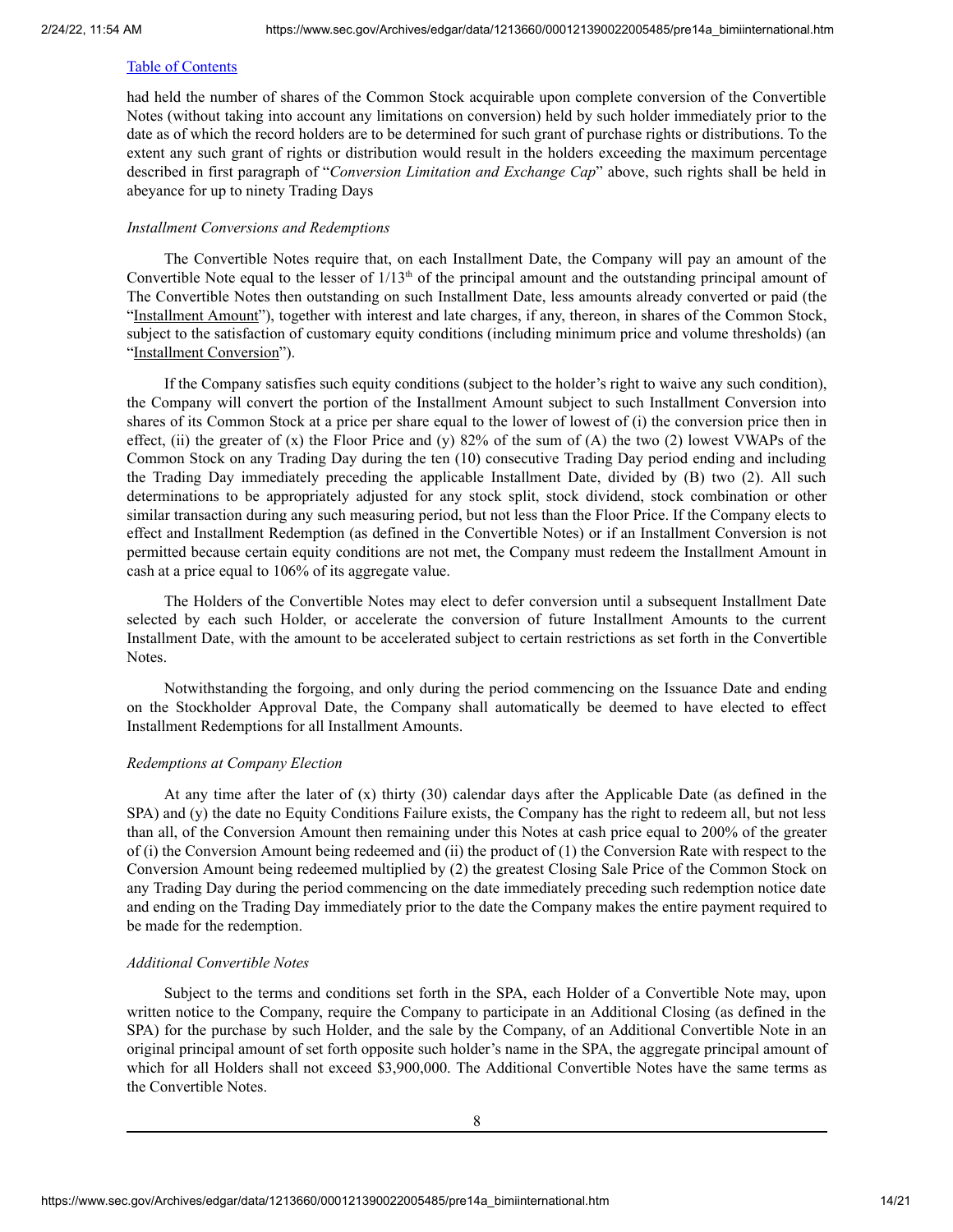had held the number of shares of the Common Stock acquirable upon complete conversion of the Convertible Notes (without taking into account any limitations on conversion) held by such holder immediately prior to the date as of which the record holders are to be determined for such grant of purchase rights or distributions. To the extent any such grant of rights or distribution would result in the holders exceeding the maximum percentage described in first paragraph of "*Conversion Limitation and Exchange Cap*" above, such rights shall be held in abeyance for up to ninety Trading Days

#### *Installment Conversions and Redemptions*

The Convertible Notes require that, on each Installment Date, the Company will pay an amount of the Convertible Note equal to the lesser of  $1/13<sup>th</sup>$  of the principal amount and the outstanding principal amount of The Convertible Notes then outstanding on such Installment Date, less amounts already converted or paid (the "Installment Amount"), together with interest and late charges, if any, thereon, in shares of the Common Stock, subject to the satisfaction of customary equity conditions (including minimum price and volume thresholds) (an "Installment Conversion").

If the Company satisfies such equity conditions (subject to the holder's right to waive any such condition), the Company will convert the portion of the Installment Amount subject to such Installment Conversion into shares of its Common Stock at a price per share equal to the lower of lowest of (i) the conversion price then in effect, (ii) the greater of  $(x)$  the Floor Price and  $(y)$  82% of the sum of  $(A)$  the two  $(2)$  lowest VWAPs of the Common Stock on any Trading Day during the ten (10) consecutive Trading Day period ending and including the Trading Day immediately preceding the applicable Installment Date, divided by (B) two (2). All such determinations to be appropriately adjusted for any stock split, stock dividend, stock combination or other similar transaction during any such measuring period, but not less than the Floor Price. If the Company elects to effect and Installment Redemption (as defined in the Convertible Notes) or if an Installment Conversion is not permitted because certain equity conditions are not met, the Company must redeem the Installment Amount in cash at a price equal to 106% of its aggregate value.

The Holders of the Convertible Notes may elect to defer conversion until a subsequent Installment Date selected by each such Holder, or accelerate the conversion of future Installment Amounts to the current Installment Date, with the amount to be accelerated subject to certain restrictions as set forth in the Convertible Notes.

Notwithstanding the forgoing, and only during the period commencing on the Issuance Date and ending on the Stockholder Approval Date, the Company shall automatically be deemed to have elected to effect Installment Redemptions for all Installment Amounts.

#### *Redemptions at Company Election*

At any time after the later of (x) thirty (30) calendar days after the Applicable Date (as defined in the SPA) and (y) the date no Equity Conditions Failure exists, the Company has the right to redeem all, but not less than all, of the Conversion Amount then remaining under this Notes at cash price equal to 200% of the greater of (i) the Conversion Amount being redeemed and (ii) the product of (1) the Conversion Rate with respect to the Conversion Amount being redeemed multiplied by (2) the greatest Closing Sale Price of the Common Stock on any Trading Day during the period commencing on the date immediately preceding such redemption notice date and ending on the Trading Day immediately prior to the date the Company makes the entire payment required to be made for the redemption.

#### *Additional Convertible Notes*

Subject to the terms and conditions set forth in the SPA, each Holder of a Convertible Note may, upon written notice to the Company, require the Company to participate in an Additional Closing (as defined in the SPA) for the purchase by such Holder, and the sale by the Company, of an Additional Convertible Note in an original principal amount of set forth opposite such holder's name in the SPA, the aggregate principal amount of which for all Holders shall not exceed \$3,900,000. The Additional Convertible Notes have the same terms as the Convertible Notes.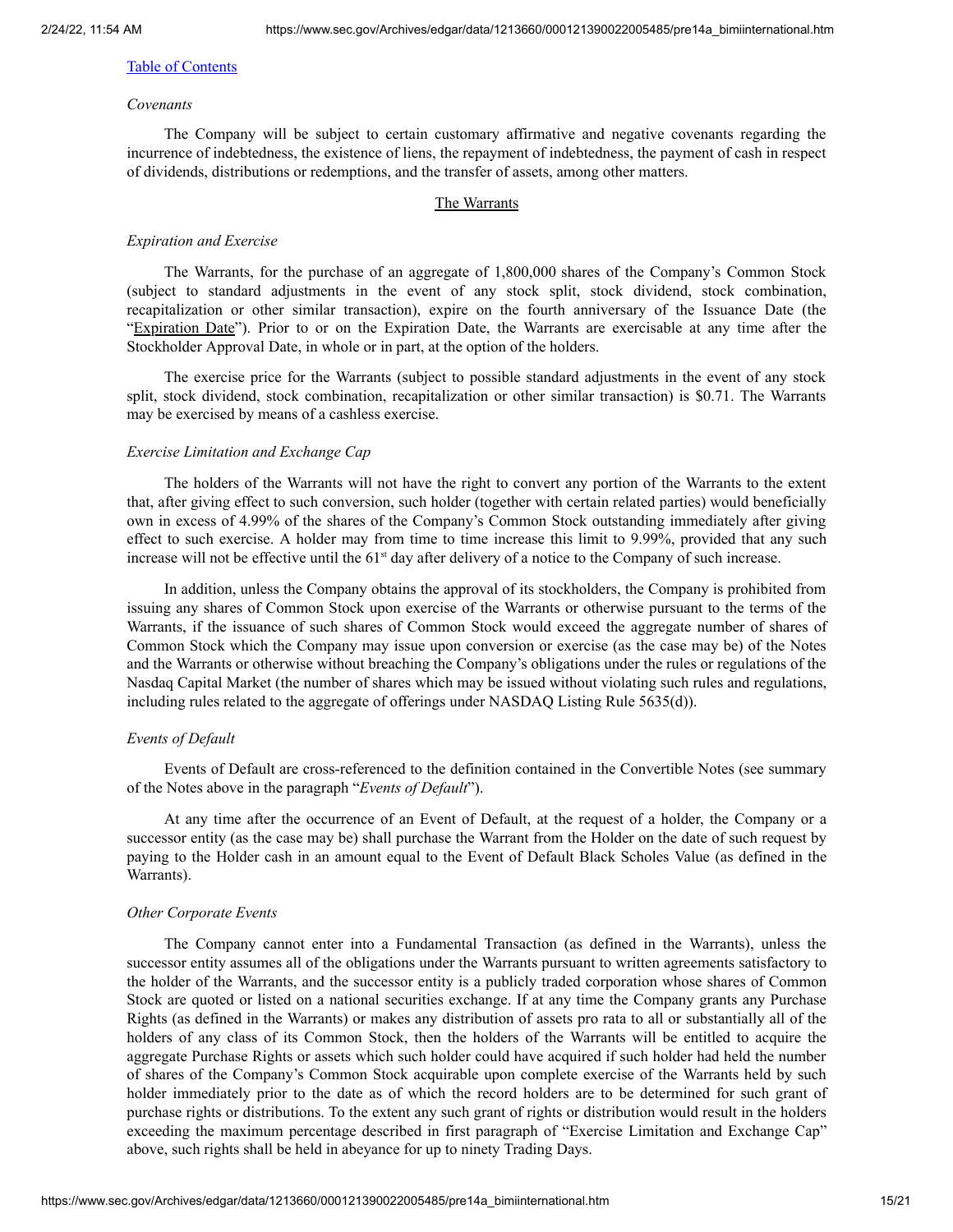#### *Covenants*

The Company will be subject to certain customary affirmative and negative covenants regarding the incurrence of indebtedness, the existence of liens, the repayment of indebtedness, the payment of cash in respect of dividends, distributions or redemptions, and the transfer of assets, among other matters.

#### The Warrants

#### *Expiration and Exercise*

The Warrants, for the purchase of an aggregate of 1,800,000 shares of the Company's Common Stock (subject to standard adjustments in the event of any stock split, stock dividend, stock combination, recapitalization or other similar transaction), expire on the fourth anniversary of the Issuance Date (the "Expiration Date"). Prior to or on the Expiration Date, the Warrants are exercisable at any time after the Stockholder Approval Date, in whole or in part, at the option of the holders.

The exercise price for the Warrants (subject to possible standard adjustments in the event of any stock split, stock dividend, stock combination, recapitalization or other similar transaction) is \$0.71. The Warrants may be exercised by means of a cashless exercise.

#### *Exercise Limitation and Exchange Cap*

The holders of the Warrants will not have the right to convert any portion of the Warrants to the extent that, after giving effect to such conversion, such holder (together with certain related parties) would beneficially own in excess of 4.99% of the shares of the Company's Common Stock outstanding immediately after giving effect to such exercise. A holder may from time to time increase this limit to 9.99%, provided that any such increase will not be effective until the  $61<sup>st</sup>$  day after delivery of a notice to the Company of such increase.

In addition, unless the Company obtains the approval of its stockholders, the Company is prohibited from issuing any shares of Common Stock upon exercise of the Warrants or otherwise pursuant to the terms of the Warrants, if the issuance of such shares of Common Stock would exceed the aggregate number of shares of Common Stock which the Company may issue upon conversion or exercise (as the case may be) of the Notes and the Warrants or otherwise without breaching the Company's obligations under the rules or regulations of the Nasdaq Capital Market (the number of shares which may be issued without violating such rules and regulations, including rules related to the aggregate of offerings under NASDAQ Listing Rule 5635(d)).

#### *Events of Default*

Events of Default are cross-referenced to the definition contained in the Convertible Notes (see summary of the Notes above in the paragraph "*Events of Default*").

At any time after the occurrence of an Event of Default, at the request of a holder, the Company or a successor entity (as the case may be) shall purchase the Warrant from the Holder on the date of such request by paying to the Holder cash in an amount equal to the Event of Default Black Scholes Value (as defined in the Warrants).

#### *Other Corporate Events*

The Company cannot enter into a Fundamental Transaction (as defined in the Warrants), unless the successor entity assumes all of the obligations under the Warrants pursuant to written agreements satisfactory to the holder of the Warrants, and the successor entity is a publicly traded corporation whose shares of Common Stock are quoted or listed on a national securities exchange. If at any time the Company grants any Purchase Rights (as defined in the Warrants) or makes any distribution of assets pro rata to all or substantially all of the holders of any class of its Common Stock, then the holders of the Warrants will be entitled to acquire the aggregate Purchase Rights or assets which such holder could have acquired if such holder had held the number of shares of the Company's Common Stock acquirable upon complete exercise of the Warrants held by such holder immediately prior to the date as of which the record holders are to be determined for such grant of purchase rights or distributions. To the extent any such grant of rights or distribution would result in the holders exceeding the maximum percentage described in first paragraph of "Exercise Limitation and Exchange Cap" above, such rights shall be held in abeyance for up to ninety Trading Days.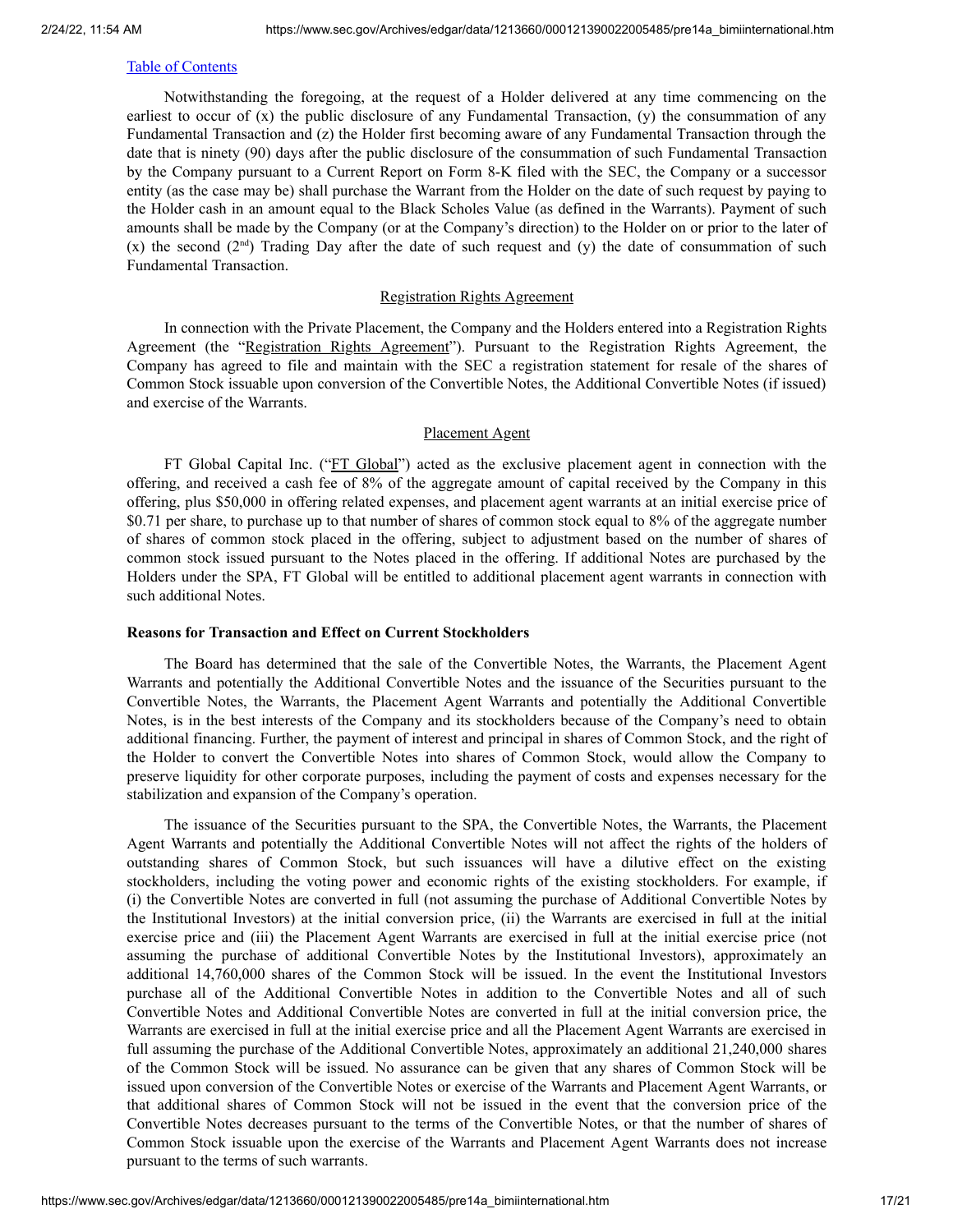Notwithstanding the foregoing, at the request of a Holder delivered at any time commencing on the earliest to occur of (x) the public disclosure of any Fundamental Transaction, (y) the consummation of any Fundamental Transaction and (z) the Holder first becoming aware of any Fundamental Transaction through the date that is ninety (90) days after the public disclosure of the consummation of such Fundamental Transaction by the Company pursuant to a Current Report on Form 8-K filed with the SEC, the Company or a successor entity (as the case may be) shall purchase the Warrant from the Holder on the date of such request by paying to the Holder cash in an amount equal to the Black Scholes Value (as defined in the Warrants). Payment of such amounts shall be made by the Company (or at the Company's direction) to the Holder on or prior to the later of  $(x)$  the second  $(2<sup>nd</sup>)$  Trading Day after the date of such request and  $(y)$  the date of consummation of such Fundamental Transaction.

#### Registration Rights Agreement

In connection with the Private Placement, the Company and the Holders entered into a Registration Rights Agreement (the "Registration Rights Agreement"). Pursuant to the Registration Rights Agreement, the Company has agreed to file and maintain with the SEC a registration statement for resale of the shares of Common Stock issuable upon conversion of the Convertible Notes, the Additional Convertible Notes (if issued) and exercise of the Warrants.

#### Placement Agent

FT Global Capital Inc. ("FT Global") acted as the exclusive placement agent in connection with the offering, and received a cash fee of 8% of the aggregate amount of capital received by the Company in this offering, plus \$50,000 in offering related expenses, and placement agent warrants at an initial exercise price of \$0.71 per share, to purchase up to that number of shares of common stock equal to 8% of the aggregate number of shares of common stock placed in the offering, subject to adjustment based on the number of shares of common stock issued pursuant to the Notes placed in the offering. If additional Notes are purchased by the Holders under the SPA, FT Global will be entitled to additional placement agent warrants in connection with such additional Notes.

#### **Reasons for Transaction and Effect on Current Stockholders**

The Board has determined that the sale of the Convertible Notes, the Warrants, the Placement Agent Warrants and potentially the Additional Convertible Notes and the issuance of the Securities pursuant to the Convertible Notes, the Warrants, the Placement Agent Warrants and potentially the Additional Convertible Notes, is in the best interests of the Company and its stockholders because of the Company's need to obtain additional financing. Further, the payment of interest and principal in shares of Common Stock, and the right of the Holder to convert the Convertible Notes into shares of Common Stock, would allow the Company to preserve liquidity for other corporate purposes, including the payment of costs and expenses necessary for the stabilization and expansion of the Company's operation.

The issuance of the Securities pursuant to the SPA, the Convertible Notes, the Warrants, the Placement Agent Warrants and potentially the Additional Convertible Notes will not affect the rights of the holders of outstanding shares of Common Stock, but such issuances will have a dilutive effect on the existing stockholders, including the voting power and economic rights of the existing stockholders. For example, if (i) the Convertible Notes are converted in full (not assuming the purchase of Additional Convertible Notes by the Institutional Investors) at the initial conversion price, (ii) the Warrants are exercised in full at the initial exercise price and (iii) the Placement Agent Warrants are exercised in full at the initial exercise price (not assuming the purchase of additional Convertible Notes by the Institutional Investors), approximately an additional 14,760,000 shares of the Common Stock will be issued. In the event the Institutional Investors purchase all of the Additional Convertible Notes in addition to the Convertible Notes and all of such Convertible Notes and Additional Convertible Notes are converted in full at the initial conversion price, the Warrants are exercised in full at the initial exercise price and all the Placement Agent Warrants are exercised in full assuming the purchase of the Additional Convertible Notes, approximately an additional 21,240,000 shares of the Common Stock will be issued. No assurance can be given that any shares of Common Stock will be issued upon conversion of the Convertible Notes or exercise of the Warrants and Placement Agent Warrants, or that additional shares of Common Stock will not be issued in the event that the conversion price of the Convertible Notes decreases pursuant to the terms of the Convertible Notes, or that the number of shares of Common Stock issuable upon the exercise of the Warrants and Placement Agent Warrants does not increase pursuant to the terms of such warrants.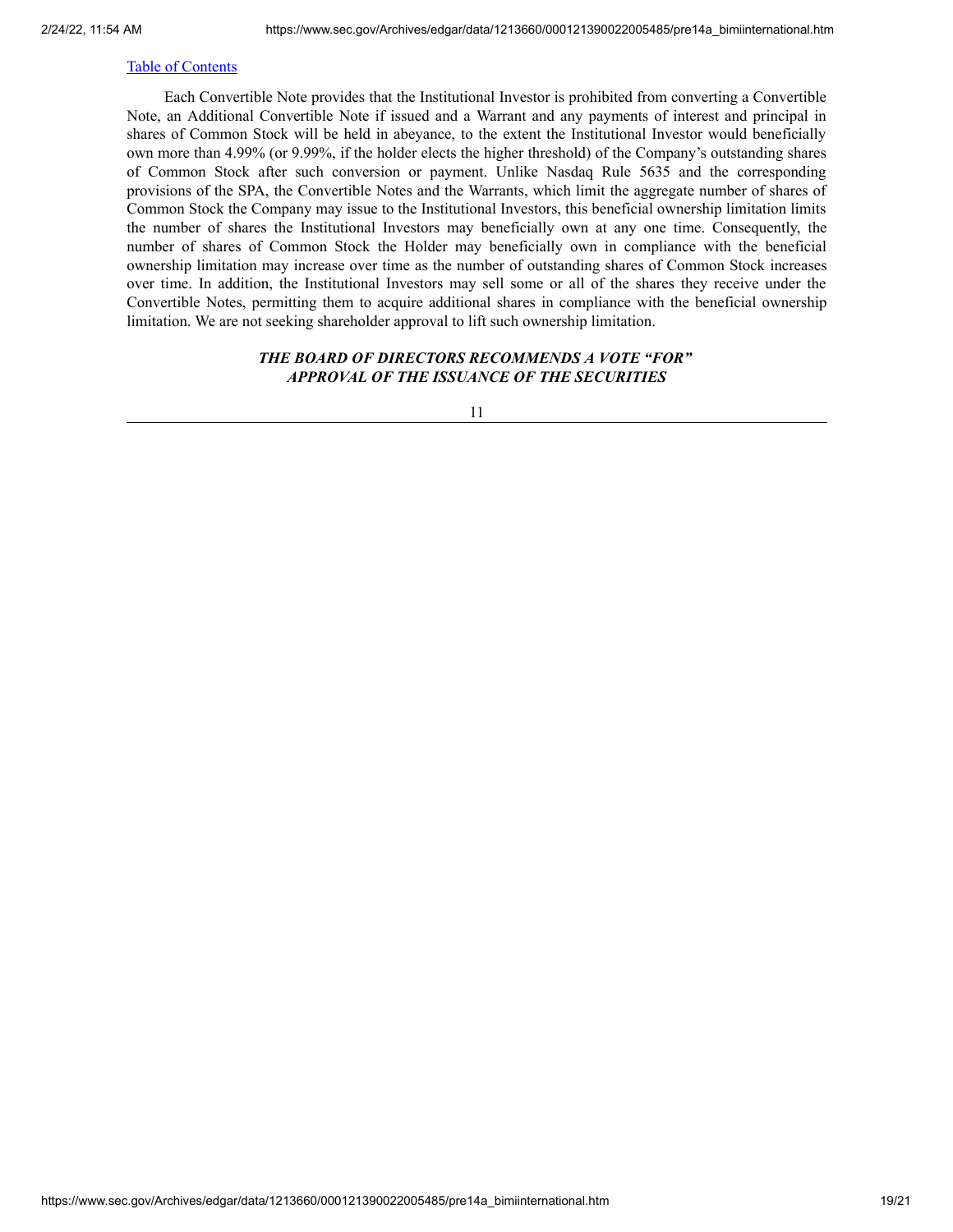Each Convertible Note provides that the Institutional Investor is prohibited from converting a Convertible Note, an Additional Convertible Note if issued and a Warrant and any payments of interest and principal in shares of Common Stock will be held in abeyance, to the extent the Institutional Investor would beneficially own more than 4.99% (or 9.99%, if the holder elects the higher threshold) of the Company's outstanding shares of Common Stock after such conversion or payment. Unlike Nasdaq Rule 5635 and the corresponding provisions of the SPA, the Convertible Notes and the Warrants, which limit the aggregate number of shares of Common Stock the Company may issue to the Institutional Investors, this beneficial ownership limitation limits the number of shares the Institutional Investors may beneficially own at any one time. Consequently, the number of shares of Common Stock the Holder may beneficially own in compliance with the beneficial ownership limitation may increase over time as the number of outstanding shares of Common Stock increases over time. In addition, the Institutional Investors may sell some or all of the shares they receive under the Convertible Notes, permitting them to acquire additional shares in compliance with the beneficial ownership limitation. We are not seeking shareholder approval to lift such ownership limitation.

## *THE BOARD OF DIRECTORS RECOMMENDS A VOTE "FOR" APPROVAL OF THE ISSUANCE OF THE SECURITIES*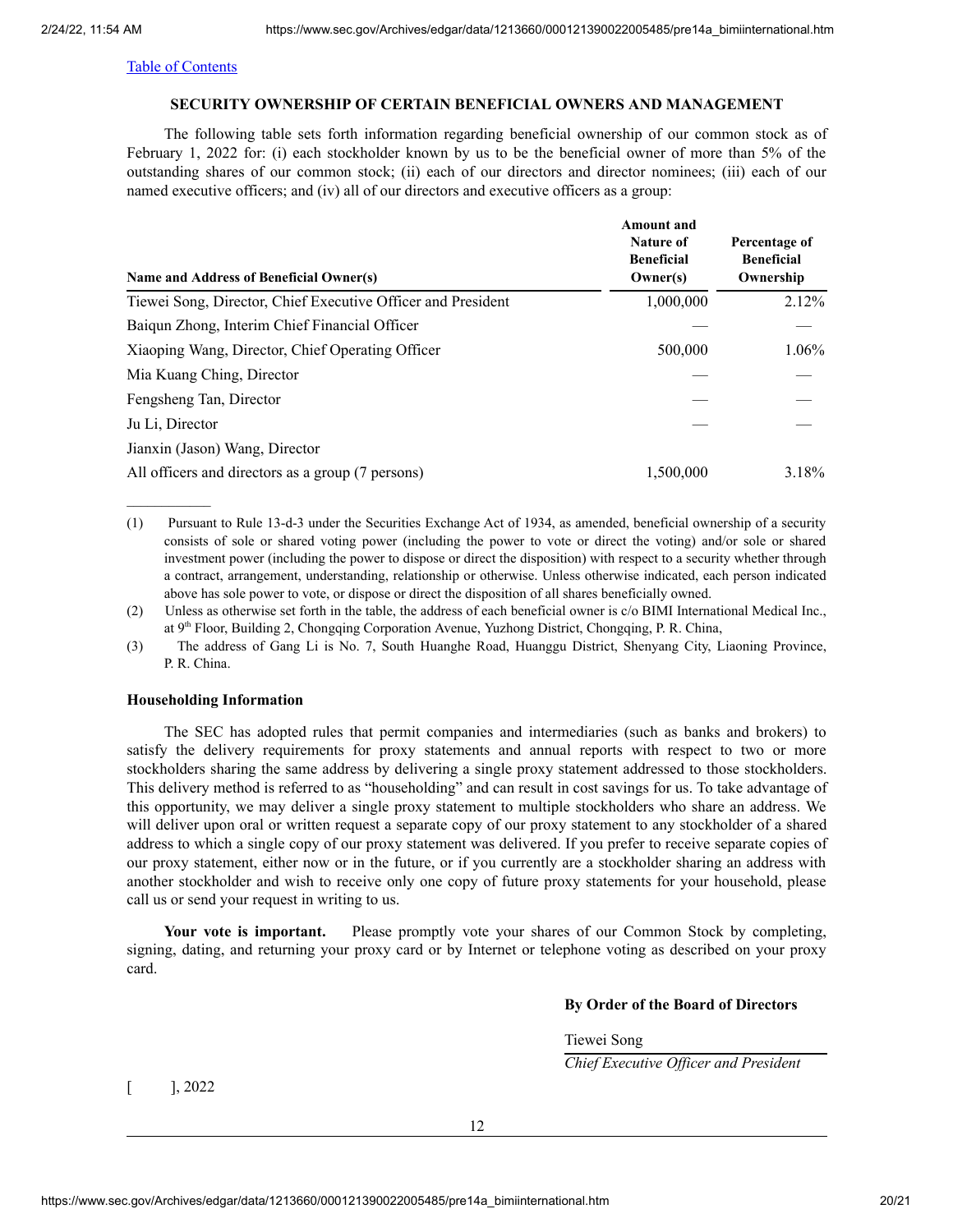#### **SECURITY OWNERSHIP OF CERTAIN BENEFICIAL OWNERS AND MANAGEMENT**

<span id="page-19-0"></span>The following table sets forth information regarding beneficial ownership of our common stock as of February 1, 2022 for: (i) each stockholder known by us to be the beneficial owner of more than 5% of the outstanding shares of our common stock; (ii) each of our directors and director nominees; (iii) each of our named executive officers; and (iv) all of our directors and executive officers as a group:

| Name and Address of Beneficial Owner(s)                      | Amount and<br><b>Nature of</b><br><b>Beneficial</b><br>Owner(s) | Percentage of<br><b>Beneficial</b><br>Ownership |
|--------------------------------------------------------------|-----------------------------------------------------------------|-------------------------------------------------|
| Tiewei Song, Director, Chief Executive Officer and President | 1,000,000                                                       | $2.12\%$                                        |
| Baiqun Zhong, Interim Chief Financial Officer                |                                                                 |                                                 |
| Xiaoping Wang, Director, Chief Operating Officer             | 500,000                                                         | 1.06%                                           |
| Mia Kuang Ching, Director                                    |                                                                 |                                                 |
| Fengsheng Tan, Director                                      |                                                                 |                                                 |
| Ju Li, Director                                              |                                                                 |                                                 |
| Jianxin (Jason) Wang, Director                               |                                                                 |                                                 |
| All officers and directors as a group (7 persons)            | 1,500,000                                                       | 3.18%                                           |

(1) Pursuant to Rule 13-d-3 under the Securities Exchange Act of 1934, as amended, beneficial ownership of a security consists of sole or shared voting power (including the power to vote or direct the voting) and/or sole or shared investment power (including the power to dispose or direct the disposition) with respect to a security whether through a contract, arrangement, understanding, relationship or otherwise. Unless otherwise indicated, each person indicated above has sole power to vote, or dispose or direct the disposition of all shares beneficially owned.

(2) Unless as otherwise set forth in the table, the address of each beneficial owner is c/o BIMI International Medical Inc., at 9<sup>th</sup> Floor, Building 2, Chongqing Corporation Avenue, Yuzhong District, Chongqing, P. R. China,

(3) The address of Gang Li is No. 7, South Huanghe Road, Huanggu District, Shenyang City, Liaoning Province, P. R. China.

#### **Householding Information**

The SEC has adopted rules that permit companies and intermediaries (such as banks and brokers) to satisfy the delivery requirements for proxy statements and annual reports with respect to two or more stockholders sharing the same address by delivering a single proxy statement addressed to those stockholders. This delivery method is referred to as "householding" and can result in cost savings for us. To take advantage of this opportunity, we may deliver a single proxy statement to multiple stockholders who share an address. We will deliver upon oral or written request a separate copy of our proxy statement to any stockholder of a shared address to which a single copy of our proxy statement was delivered. If you prefer to receive separate copies of our proxy statement, either now or in the future, or if you currently are a stockholder sharing an address with another stockholder and wish to receive only one copy of future proxy statements for your household, please call us or send your request in writing to us.

**Your vote is important.** Please promptly vote your shares of our Common Stock by completing, signing, dating, and returning your proxy card or by Internet or telephone voting as described on your proxy card.

#### **By Order of the Board of Directors**

Tiewei Song

*Chief Executive Of icer and President*

 $[$  ], 2022